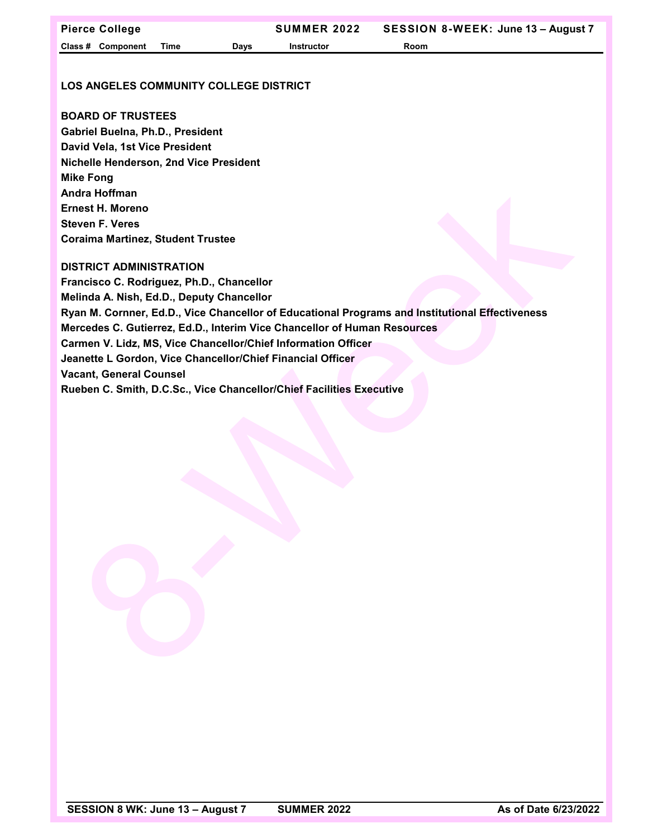## **LOS ANGELES COMMUNITY COLLEGE DISTRICT**

## **BOARD OF TRUSTEES**

**Gabriel Buelna, Ph.D., President David Vela, 1st Vice President Nichelle Henderson, 2nd Vice President Mike Fong Andra Hoffman Ernest H. Moreno Steven F. Veres Coraima Martinez, Student Trustee**

## **DISTRICT ADMINISTRATION**

**Francisco C. Rodriguez, Ph.D., Chancellor Melinda A. Nish, Ed.D., Deputy Chancellor Ryan M. Cornner, Ed.D., Vice Chancellor of Educational Programs and Institutional Effectiveness Mercedes C. Gutierrez, Ed.D., Interim Vice Chancellor of Human Resources Carmen V. Lidz, MS, Vice Chancellor/Chief Information Officer Jeanette L Gordon, Vice Chancellor/Chief Financial Officer Vacant, General Counsel Rueben C. Smith, D.C.Sc., Vice Chancellor/Chief Facilities Executive**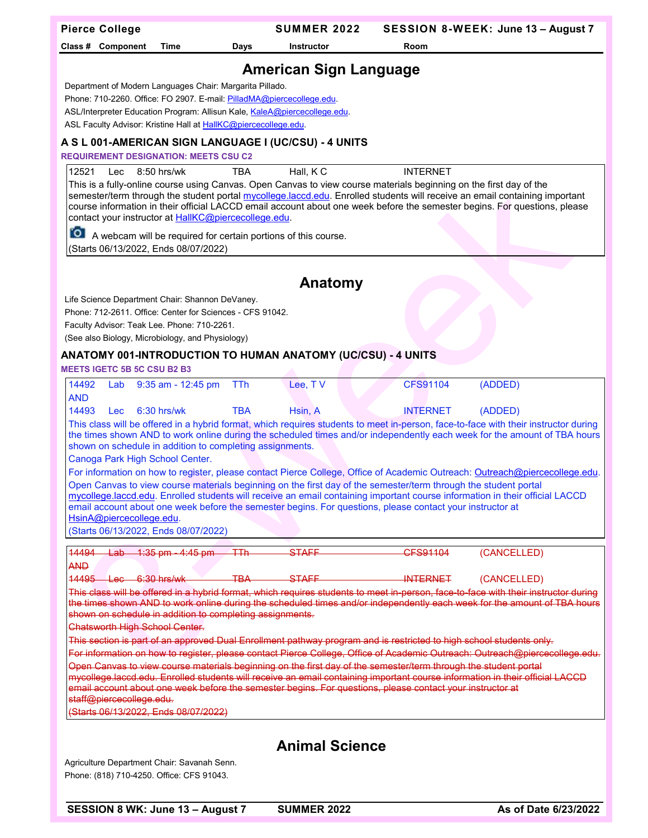| <b>Pierce College</b>                                                                                                                                                                                                                                                                                                                                                                                                                                                                                                                                                                                                                                                                                                                                                                                                                                                                                                                                                                                                                                          | <b>SUMMER 2022</b>            |                 | SESSION 8-WEEK: June 13 - August 7 |  |  |  |  |
|----------------------------------------------------------------------------------------------------------------------------------------------------------------------------------------------------------------------------------------------------------------------------------------------------------------------------------------------------------------------------------------------------------------------------------------------------------------------------------------------------------------------------------------------------------------------------------------------------------------------------------------------------------------------------------------------------------------------------------------------------------------------------------------------------------------------------------------------------------------------------------------------------------------------------------------------------------------------------------------------------------------------------------------------------------------|-------------------------------|-----------------|------------------------------------|--|--|--|--|
| Class # Component<br>Time<br>Days                                                                                                                                                                                                                                                                                                                                                                                                                                                                                                                                                                                                                                                                                                                                                                                                                                                                                                                                                                                                                              | Instructor                    | Room            |                                    |  |  |  |  |
|                                                                                                                                                                                                                                                                                                                                                                                                                                                                                                                                                                                                                                                                                                                                                                                                                                                                                                                                                                                                                                                                |                               |                 |                                    |  |  |  |  |
| Department of Modern Languages Chair: Margarita Pillado.<br>Phone: 710-2260. Office: FO 2907. E-mail: PilladMA@piercecollege.edu.<br>ASL/Interpreter Education Program: Allisun Kale, KaleA@piercecollege.edu.<br>ASL Faculty Advisor: Kristine Hall at HallKC@piercecollege.edu.                                                                                                                                                                                                                                                                                                                                                                                                                                                                                                                                                                                                                                                                                                                                                                              | <b>American Sign Language</b> |                 |                                    |  |  |  |  |
| A S L 001-AMERICAN SIGN LANGUAGE I (UC/CSU) - 4 UNITS                                                                                                                                                                                                                                                                                                                                                                                                                                                                                                                                                                                                                                                                                                                                                                                                                                                                                                                                                                                                          |                               |                 |                                    |  |  |  |  |
| <b>REQUIREMENT DESIGNATION: MEETS CSU C2</b>                                                                                                                                                                                                                                                                                                                                                                                                                                                                                                                                                                                                                                                                                                                                                                                                                                                                                                                                                                                                                   |                               |                 |                                    |  |  |  |  |
| Hall, KC<br><b>INTERNET</b><br>12521<br>8:50 hrs/wk<br><b>TBA</b><br>Lec<br>This is a fully-online course using Canvas. Open Canvas to view course materials beginning on the first day of the<br>semester/term through the student portal mycollege.laccd.edu. Enrolled students will receive an email containing important<br>course information in their official LACCD email account about one week before the semester begins. For questions, please<br>contact your instructor at HallKC@piercecollege.edu.                                                                                                                                                                                                                                                                                                                                                                                                                                                                                                                                              |                               |                 |                                    |  |  |  |  |
| ro i<br>A webcam will be required for certain portions of this course.                                                                                                                                                                                                                                                                                                                                                                                                                                                                                                                                                                                                                                                                                                                                                                                                                                                                                                                                                                                         |                               |                 |                                    |  |  |  |  |
| (Starts 06/13/2022, Ends 08/07/2022)                                                                                                                                                                                                                                                                                                                                                                                                                                                                                                                                                                                                                                                                                                                                                                                                                                                                                                                                                                                                                           |                               |                 |                                    |  |  |  |  |
|                                                                                                                                                                                                                                                                                                                                                                                                                                                                                                                                                                                                                                                                                                                                                                                                                                                                                                                                                                                                                                                                | Anatomy                       |                 |                                    |  |  |  |  |
| Life Science Department Chair: Shannon DeVaney.                                                                                                                                                                                                                                                                                                                                                                                                                                                                                                                                                                                                                                                                                                                                                                                                                                                                                                                                                                                                                |                               |                 |                                    |  |  |  |  |
| Phone: 712-2611. Office: Center for Sciences - CFS 91042.                                                                                                                                                                                                                                                                                                                                                                                                                                                                                                                                                                                                                                                                                                                                                                                                                                                                                                                                                                                                      |                               |                 |                                    |  |  |  |  |
| Faculty Advisor: Teak Lee. Phone: 710-2261.<br>(See also Biology, Microbiology, and Physiology)                                                                                                                                                                                                                                                                                                                                                                                                                                                                                                                                                                                                                                                                                                                                                                                                                                                                                                                                                                |                               |                 |                                    |  |  |  |  |
|                                                                                                                                                                                                                                                                                                                                                                                                                                                                                                                                                                                                                                                                                                                                                                                                                                                                                                                                                                                                                                                                |                               |                 |                                    |  |  |  |  |
| ANATOMY 001-INTRODUCTION TO HUMAN ANATOMY (UC/CSU) - 4 UNITS                                                                                                                                                                                                                                                                                                                                                                                                                                                                                                                                                                                                                                                                                                                                                                                                                                                                                                                                                                                                   |                               |                 |                                    |  |  |  |  |
| <b>MEETS IGETC 5B 5C CSU B2 B3</b>                                                                                                                                                                                                                                                                                                                                                                                                                                                                                                                                                                                                                                                                                                                                                                                                                                                                                                                                                                                                                             |                               |                 |                                    |  |  |  |  |
| <b>TTh</b><br>14492<br>Lab<br>9:35 am - 12:45 pm<br>AND                                                                                                                                                                                                                                                                                                                                                                                                                                                                                                                                                                                                                                                                                                                                                                                                                                                                                                                                                                                                        | Lee, TV                       | <b>CFS91104</b> | (ADDED)                            |  |  |  |  |
| 14493<br>6:30 hrs/wk<br><b>TBA</b><br><b>Lec</b>                                                                                                                                                                                                                                                                                                                                                                                                                                                                                                                                                                                                                                                                                                                                                                                                                                                                                                                                                                                                               | Hsin, A                       | <b>INTERNET</b> | (ADDED)                            |  |  |  |  |
| This class will be offered in a hybrid format, which requires students to meet in-person, face-to-face with their instructor during<br>the times shown AND to work online during the scheduled times and/or independently each week for the amount of TBA hours<br>shown on schedule in addition to completing assignments.<br>Canoga Park High School Center.<br>For information on how to register, please contact Pierce College, Office of Academic Outreach: Outreach@piercecollege.edu.                                                                                                                                                                                                                                                                                                                                                                                                                                                                                                                                                                  |                               |                 |                                    |  |  |  |  |
| Open Canvas to view course materials beginning on the first day of the semester/term through the student portal                                                                                                                                                                                                                                                                                                                                                                                                                                                                                                                                                                                                                                                                                                                                                                                                                                                                                                                                                |                               |                 |                                    |  |  |  |  |
| mycollege.laccd.edu. Enrolled students will receive an email containing important course information in their official LACCD<br>email account about one week before the semester begins. For questions, please contact your instructor at<br>HsinA@piercecollege.edu.<br>(Starts 06/13/2022, Ends 08/07/2022)                                                                                                                                                                                                                                                                                                                                                                                                                                                                                                                                                                                                                                                                                                                                                  |                               |                 |                                    |  |  |  |  |
| 14494<br>$-1:35$ pm $-4:45$ pm<br>ŦŦħ<br><del>Lab</del>                                                                                                                                                                                                                                                                                                                                                                                                                                                                                                                                                                                                                                                                                                                                                                                                                                                                                                                                                                                                        | <b>STAFF</b>                  | CFS91104        | (CANCELLED)                        |  |  |  |  |
| <b>AND</b><br>$14495 - 1$ eq. 6:30 hrs/wk<br><b>TRA</b>                                                                                                                                                                                                                                                                                                                                                                                                                                                                                                                                                                                                                                                                                                                                                                                                                                                                                                                                                                                                        | <b>STAFF</b>                  | <b>INTERNET</b> | (CANCELLED)                        |  |  |  |  |
| This class will be offered in a hybrid format, which requires students to meet in-person, face-to-face with their instructor during<br>the times shown AND to work online during the scheduled times and/or independently each week for the amount of TBA hours<br>shown on schedule in addition to completing assignments.<br><b>Chatsworth High School Center.</b><br>This section is part of an approved Dual Enrollment pathway program and is restricted to high school students only.<br>For information on how to register, please contact Pierce College, Office of Academic Outreach: Outreach@piercecollege.edu.<br>Open Canvas to view course materials beginning on the first day of the semester/term through the student portal<br>mycollege laced edu. Enrolled students will receive an email containing important course information in their official LACCD<br>email account about one week before the semester begins. For questions, please contact your instructor at<br>staff@piercecollege.edu.<br>(Starts 06/13/2022, Ends 08/07/2022) |                               |                 |                                    |  |  |  |  |
| Agriculture Department Chair: Savanah Senn.                                                                                                                                                                                                                                                                                                                                                                                                                                                                                                                                                                                                                                                                                                                                                                                                                                                                                                                                                                                                                    | <b>Animal Science</b>         |                 |                                    |  |  |  |  |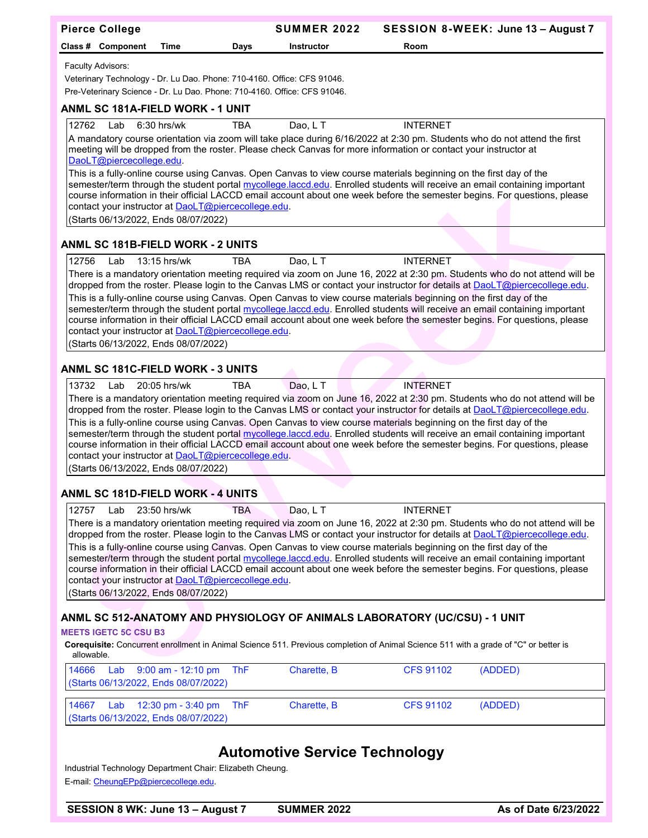| <b>Pierce College</b>                                                                                                                                                                                                                                    | <b>SUMMER 2022</b>                   |                  | SESSION 8-WEEK: June 13 - August 7 |
|----------------------------------------------------------------------------------------------------------------------------------------------------------------------------------------------------------------------------------------------------------|--------------------------------------|------------------|------------------------------------|
| Class # Component<br>Time<br>Days                                                                                                                                                                                                                        | <b>Instructor</b>                    | Room             |                                    |
| Faculty Advisors:                                                                                                                                                                                                                                        |                                      |                  |                                    |
| Veterinary Technology - Dr. Lu Dao. Phone: 710-4160. Office: CFS 91046.                                                                                                                                                                                  |                                      |                  |                                    |
| Pre-Veterinary Science - Dr. Lu Dao. Phone: 710-4160. Office: CFS 91046.                                                                                                                                                                                 |                                      |                  |                                    |
| ANML SC 181A-FIELD WORK - 1 UNIT                                                                                                                                                                                                                         |                                      |                  |                                    |
| 12762<br>$6:30$ hrs/wk<br>Lab<br>TBA<br>A mandatory course orientation via zoom will take place during 6/16/2022 at 2:30 pm. Students who do not attend the first                                                                                        | Dao, L T                             | <b>INTERNET</b>  |                                    |
| meeting will be dropped from the roster. Please check Canvas for more information or contact your instructor at                                                                                                                                          |                                      |                  |                                    |
| DaoLT@piercecollege.edu.<br>This is a fully-online course using Canvas. Open Canvas to view course materials beginning on the first day of the                                                                                                           |                                      |                  |                                    |
| semester/term through the student portal mycollege.laccd.edu. Enrolled students will receive an email containing important                                                                                                                               |                                      |                  |                                    |
| course information in their official LACCD email account about one week before the semester begins. For questions, please<br>contact your instructor at DaoLT@piercecollege.edu.                                                                         |                                      |                  |                                    |
| (Starts 06/13/2022, Ends 08/07/2022)                                                                                                                                                                                                                     |                                      |                  |                                    |
| <b>ANML SC 181B-FIELD WORK - 2 UNITS</b>                                                                                                                                                                                                                 |                                      |                  |                                    |
| 12756<br>13:15 hrs/wk<br><b>TBA</b><br>Lab                                                                                                                                                                                                               | Dao, L T                             | <b>INTERNET</b>  |                                    |
| There is a mandatory orientation meeting required via zoom on June 16, 2022 at 2:30 pm. Students who do not attend will be                                                                                                                               |                                      |                  |                                    |
| dropped from the roster. Please login to the Canvas LMS or contact your instructor for details at DaoLT@piercecollege.edu.<br>This is a fully-online course using Canvas. Open Canvas to view course materials beginning on the first day of the         |                                      |                  |                                    |
| semester/term through the student portal mycollege.laccd.edu. Enrolled students will receive an email containing important                                                                                                                               |                                      |                  |                                    |
| course information in their official LACCD email account about one week before the semester begins. For questions, please<br>contact your instructor at DaoLT@piercecollege.edu.                                                                         |                                      |                  |                                    |
| (Starts 06/13/2022, Ends 08/07/2022)                                                                                                                                                                                                                     |                                      |                  |                                    |
| <b>ANML SC 181C-FIELD WORK - 3 UNITS</b>                                                                                                                                                                                                                 |                                      |                  |                                    |
| 13732<br>20:05 hrs/wk<br>TBA<br>Lab                                                                                                                                                                                                                      | Dao, L T                             | <b>INTERNET</b>  |                                    |
| There is a mandatory orientation meeting required via zoom on June 16, 2022 at 2:30 pm. Students who do not attend will be<br>dropped from the roster. Please login to the Canvas LMS or contact your instructor for details at DaoLT@piercecollege.edu. |                                      |                  |                                    |
| This is a fully-online course using Canvas. Open Canvas to view course materials beginning on the first day of the                                                                                                                                       |                                      |                  |                                    |
| semester/term through the student portal mycollege.laccd.edu. Enrolled students will receive an email containing important<br>course information in their official LACCD email account about one week before the semester begins. For questions, please  |                                      |                  |                                    |
| contact your instructor at DaoLT@piercecollege.edu.                                                                                                                                                                                                      |                                      |                  |                                    |
| (Starts 06/13/2022, Ends 08/07/2022)                                                                                                                                                                                                                     |                                      |                  |                                    |
| <b>ANML SC 181D-FIELD WORK - 4 UNITS</b>                                                                                                                                                                                                                 |                                      |                  |                                    |
| 12757<br>Lab<br>23:50 hrs/wk<br><b>TBA</b>                                                                                                                                                                                                               | Dao, L T                             | <b>INTERNET</b>  |                                    |
| There is a mandatory orientation meeting required via zoom on June 16, 2022 at 2:30 pm. Students who do not attend will be<br>dropped from the roster. Please login to the Canvas LMS or contact your instructor for details at DaoLT@piercecollege.edu. |                                      |                  |                                    |
| This is a fully-online course using Canvas. Open Canvas to view course materials beginning on the first day of the                                                                                                                                       |                                      |                  |                                    |
| semester/term through the student portal mycollege.laccd.edu. Enrolled students will receive an email containing important<br>course information in their official LACCD email account about one week before the semester begins. For questions, please  |                                      |                  |                                    |
| contact your instructor at DaoLT@piercecollege.edu.                                                                                                                                                                                                      |                                      |                  |                                    |
| (Starts 06/13/2022, Ends 08/07/2022)                                                                                                                                                                                                                     |                                      |                  |                                    |
| ANML SC 512-ANATOMY AND PHYSIOLOGY OF ANIMALS LABORATORY (UC/CSU) - 1 UNIT                                                                                                                                                                               |                                      |                  |                                    |
| <b>MEETS IGETC 5C CSU B3</b>                                                                                                                                                                                                                             |                                      |                  |                                    |
| Corequisite: Concurrent enrollment in Animal Science 511. Previous completion of Animal Science 511 with a grade of "C" or better is<br>allowable.                                                                                                       |                                      |                  |                                    |
| 9:00 am - 12:10 pm<br>14666<br><b>ThF</b><br>Lab<br>(Starts 06/13/2022, Ends 08/07/2022)                                                                                                                                                                 | Charette, B                          | <b>CFS 91102</b> | (ADDED)                            |
| <b>ThF</b><br>14667<br>Lab<br>12:30 pm - 3:40 pm<br>(Starts 06/13/2022, Ends 08/07/2022)                                                                                                                                                                 | Charette, B                          | <b>CFS 91102</b> | (ADDED)                            |
|                                                                                                                                                                                                                                                          |                                      |                  |                                    |
|                                                                                                                                                                                                                                                          | <b>Automotive Service Technology</b> |                  |                                    |
| Industrial Technology Department Chair: Elizabeth Cheung.<br>E-mail: CheungEPp@piercecollege.edu.                                                                                                                                                        |                                      |                  |                                    |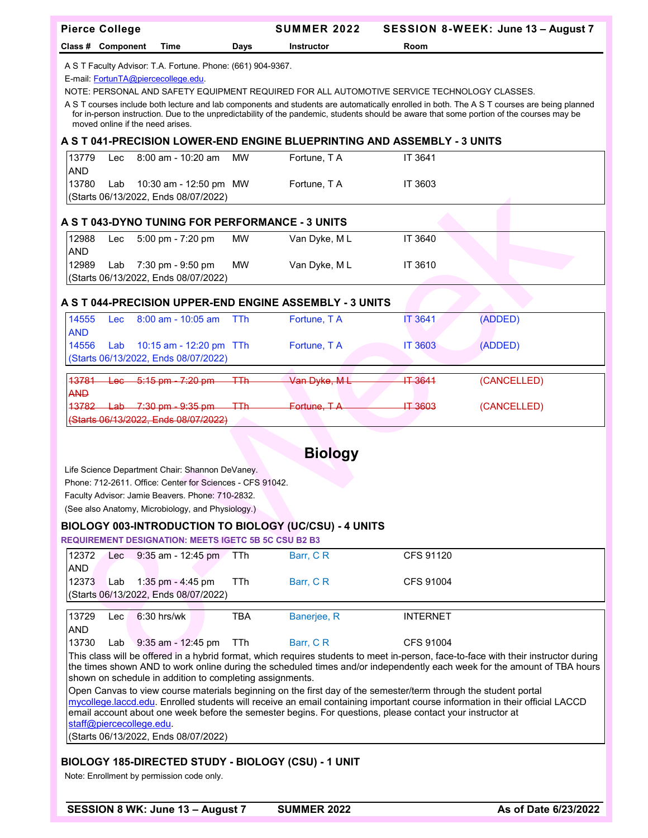|                                                                                             | <b>Pierce College</b>                                                                             |                                                             |            | <b>SUMMER 2022</b>                                                                                              |                  | SESSION 8-WEEK: June 13 - August 7                                                                                                                                                                                                                                                     |  |  |  |
|---------------------------------------------------------------------------------------------|---------------------------------------------------------------------------------------------------|-------------------------------------------------------------|------------|-----------------------------------------------------------------------------------------------------------------|------------------|----------------------------------------------------------------------------------------------------------------------------------------------------------------------------------------------------------------------------------------------------------------------------------------|--|--|--|
|                                                                                             | Class # Component                                                                                 | Time                                                        | Days       | Instructor                                                                                                      | Room             |                                                                                                                                                                                                                                                                                        |  |  |  |
|                                                                                             | A S T Faculty Advisor: T.A. Fortune. Phone: (661) 904-9367.<br>E-mail FortunTA@piercecollege.edu. |                                                             |            |                                                                                                                 |                  |                                                                                                                                                                                                                                                                                        |  |  |  |
| NOTE: PERSONAL AND SAFETY EQUIPMENT REQUIRED FOR ALL AUTOMOTIVE SERVICE TECHNOLOGY CLASSES. |                                                                                                   |                                                             |            |                                                                                                                 |                  |                                                                                                                                                                                                                                                                                        |  |  |  |
|                                                                                             |                                                                                                   | moved online if the need arises.                            |            |                                                                                                                 |                  | A S T courses include both lecture and lab components and students are automatically enrolled in both. The A S T courses are being planned<br>for in-person instruction. Due to the unpredictability of the pandemic, students should be aware that some portion of the courses may be |  |  |  |
|                                                                                             |                                                                                                   |                                                             |            | A S T 041-PRECISION LOWER-END ENGINE BLUEPRINTING AND ASSEMBLY - 3 UNITS                                        |                  |                                                                                                                                                                                                                                                                                        |  |  |  |
| 13779                                                                                       | Lec                                                                                               | $8:00$ am - 10:20 am                                        | <b>MW</b>  | Fortune, T A                                                                                                    | IT 3641          |                                                                                                                                                                                                                                                                                        |  |  |  |
| <b>AND</b><br>13780                                                                         | Lab                                                                                               | 10:30 am - 12:50 pm MW                                      |            | Fortune, T A                                                                                                    | IT 3603          |                                                                                                                                                                                                                                                                                        |  |  |  |
|                                                                                             |                                                                                                   | (Starts 06/13/2022, Ends 08/07/2022)                        |            |                                                                                                                 |                  |                                                                                                                                                                                                                                                                                        |  |  |  |
|                                                                                             |                                                                                                   |                                                             |            |                                                                                                                 |                  |                                                                                                                                                                                                                                                                                        |  |  |  |
|                                                                                             |                                                                                                   | A S T 043-DYNO TUNING FOR PERFORMANCE - 3 UNITS             |            |                                                                                                                 |                  |                                                                                                                                                                                                                                                                                        |  |  |  |
| 12988                                                                                       | Lec                                                                                               | 5:00 pm - 7:20 pm                                           | MW         | Van Dyke, ML                                                                                                    | IT 3640          |                                                                                                                                                                                                                                                                                        |  |  |  |
| <b>AND</b><br>12989                                                                         | Lab                                                                                               | 7:30 pm - 9:50 pm                                           | <b>MW</b>  | Van Dyke, ML                                                                                                    | IT 3610          |                                                                                                                                                                                                                                                                                        |  |  |  |
|                                                                                             |                                                                                                   | (Starts 06/13/2022, Ends 08/07/2022)                        |            |                                                                                                                 |                  |                                                                                                                                                                                                                                                                                        |  |  |  |
|                                                                                             |                                                                                                   |                                                             |            |                                                                                                                 |                  |                                                                                                                                                                                                                                                                                        |  |  |  |
|                                                                                             |                                                                                                   |                                                             |            | A S T 044-PRECISION UPPER-END ENGINE ASSEMBLY - 3 UNITS                                                         |                  |                                                                                                                                                                                                                                                                                        |  |  |  |
| 14555                                                                                       | <b>Lec</b>                                                                                        | $8:00$ am - 10:05 am                                        | TTh        | Fortune, T A                                                                                                    | IT 3641          | (ADDED)                                                                                                                                                                                                                                                                                |  |  |  |
| <b>AND</b><br>14556                                                                         | Lab                                                                                               | 10:15 am - 12:20 pm TTh                                     |            | Fortune, T A                                                                                                    | <b>IT 3603</b>   | (ADDED)                                                                                                                                                                                                                                                                                |  |  |  |
|                                                                                             |                                                                                                   | (Starts 06/13/2022, Ends 08/07/2022)                        |            |                                                                                                                 |                  |                                                                                                                                                                                                                                                                                        |  |  |  |
|                                                                                             |                                                                                                   |                                                             |            |                                                                                                                 |                  |                                                                                                                                                                                                                                                                                        |  |  |  |
| 43781<br><b>AND</b>                                                                         | $-96-$                                                                                            | $-5:15$ pm $-7:20$ pm                                       | <b>TTh</b> | Van Dyke, M L                                                                                                   | <b>IT 3641</b>   | (CANCELLED)                                                                                                                                                                                                                                                                            |  |  |  |
| 13782                                                                                       |                                                                                                   | $\frac{\text{Lab}}{\text{2:30 pm}}$ - 9:35 pm               | 工工         | Fortune. T.A                                                                                                    | <b>IT 3603</b>   | (CANCELLED)                                                                                                                                                                                                                                                                            |  |  |  |
|                                                                                             |                                                                                                   | (Starts 06/13/2022, Ends 08/07/2022)                        |            |                                                                                                                 |                  |                                                                                                                                                                                                                                                                                        |  |  |  |
|                                                                                             |                                                                                                   |                                                             |            |                                                                                                                 |                  |                                                                                                                                                                                                                                                                                        |  |  |  |
|                                                                                             |                                                                                                   |                                                             |            | <b>Biology</b>                                                                                                  |                  |                                                                                                                                                                                                                                                                                        |  |  |  |
|                                                                                             |                                                                                                   | Life Science Department Chair: Shannon DeVaney.             |            |                                                                                                                 |                  |                                                                                                                                                                                                                                                                                        |  |  |  |
|                                                                                             |                                                                                                   | Phone: 712-2611. Office: Center for Sciences - CFS 91042.   |            |                                                                                                                 |                  |                                                                                                                                                                                                                                                                                        |  |  |  |
|                                                                                             |                                                                                                   | Faculty Advisor: Jamie Beavers. Phone: 710-2832.            |            |                                                                                                                 |                  |                                                                                                                                                                                                                                                                                        |  |  |  |
|                                                                                             |                                                                                                   | (See also Anatomy, Microbiology, and Physiology.)           |            |                                                                                                                 |                  |                                                                                                                                                                                                                                                                                        |  |  |  |
|                                                                                             |                                                                                                   |                                                             |            | BIOLOGY 003-INTRODUCTION TO BIOLOGY (UC/CSU) - 4 UNITS                                                          |                  |                                                                                                                                                                                                                                                                                        |  |  |  |
|                                                                                             |                                                                                                   | <b>REQUIREMENT DESIGNATION: MEETS IGETC 5B 5C CSU B2 B3</b> |            |                                                                                                                 |                  |                                                                                                                                                                                                                                                                                        |  |  |  |
| 12372<br><b>AND</b>                                                                         | Lec.                                                                                              | $9:35$ am - 12:45 pm                                        | TTh        | Barr, CR                                                                                                        | CFS 91120        |                                                                                                                                                                                                                                                                                        |  |  |  |
| 12373                                                                                       | Lab                                                                                               | 1:35 pm - 4:45 pm                                           | TTh        | Barr, CR                                                                                                        | <b>CFS 91004</b> |                                                                                                                                                                                                                                                                                        |  |  |  |
|                                                                                             |                                                                                                   | (Starts 06/13/2022, Ends 08/07/2022)                        |            |                                                                                                                 |                  |                                                                                                                                                                                                                                                                                        |  |  |  |
| 13729                                                                                       | Lec                                                                                               | 6:30 hrs/wk                                                 | <b>TBA</b> | Banerjee, R                                                                                                     | <b>INTERNET</b>  |                                                                                                                                                                                                                                                                                        |  |  |  |
| <b>AND</b>                                                                                  |                                                                                                   |                                                             |            |                                                                                                                 |                  |                                                                                                                                                                                                                                                                                        |  |  |  |
| 13730                                                                                       | Lab                                                                                               | 9:35 am - 12:45 pm                                          | TTh        | Barr, CR                                                                                                        | <b>CFS 91004</b> |                                                                                                                                                                                                                                                                                        |  |  |  |
|                                                                                             |                                                                                                   |                                                             |            |                                                                                                                 |                  | This class will be offered in a hybrid format, which requires students to meet in-person, face-to-face with their instructor during                                                                                                                                                    |  |  |  |
|                                                                                             |                                                                                                   | shown on schedule in addition to completing assignments.    |            |                                                                                                                 |                  | the times shown AND to work online during the scheduled times and/or independently each week for the amount of TBA hours                                                                                                                                                               |  |  |  |
|                                                                                             |                                                                                                   |                                                             |            | Open Canvas to view course materials beginning on the first day of the semester/term through the student portal |                  |                                                                                                                                                                                                                                                                                        |  |  |  |
|                                                                                             |                                                                                                   |                                                             |            |                                                                                                                 |                  | mycollege.laccd.edu. Enrolled students will receive an email containing important course information in their official LACCD                                                                                                                                                           |  |  |  |
|                                                                                             |                                                                                                   | staff@piercecollege.edu.                                    |            | email account about one week before the semester begins. For questions, please contact your instructor at       |                  |                                                                                                                                                                                                                                                                                        |  |  |  |
|                                                                                             |                                                                                                   | (Starts 06/13/2022, Ends 08/07/2022)                        |            |                                                                                                                 |                  |                                                                                                                                                                                                                                                                                        |  |  |  |

## **BIOLOGY 185-DIRECTED STUDY - BIOLOGY (CSU) - 1 UNIT**

Note: Enrollment by permission code only.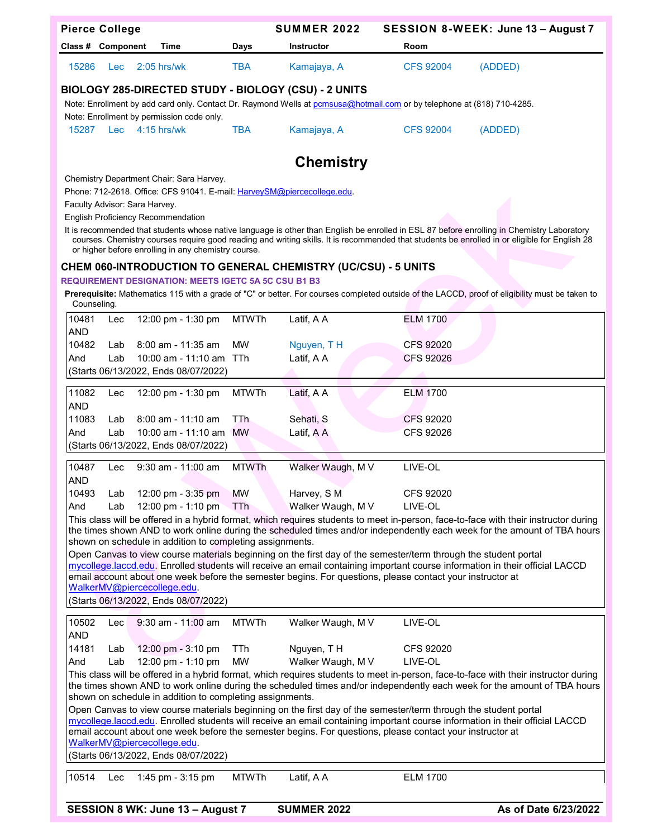| <b>Pierce College</b>         |            |                                                                         |              | <b>SUMMER 2022</b>                                                                                                     |                  | SESSION 8-WEEK: June 13 - August 7                                                                                                                                                                                                                                                          |
|-------------------------------|------------|-------------------------------------------------------------------------|--------------|------------------------------------------------------------------------------------------------------------------------|------------------|---------------------------------------------------------------------------------------------------------------------------------------------------------------------------------------------------------------------------------------------------------------------------------------------|
| Class # Component             |            | Time                                                                    | Days         | <b>Instructor</b>                                                                                                      | Room             |                                                                                                                                                                                                                                                                                             |
| 15286                         | <b>Lec</b> | $2:05$ hrs/wk                                                           | <b>TBA</b>   | Kamajaya, A                                                                                                            | <b>CFS 92004</b> | (ADDED)                                                                                                                                                                                                                                                                                     |
|                               |            |                                                                         |              | BIOLOGY 285-DIRECTED STUDY - BIOLOGY (CSU) - 2 UNITS                                                                   |                  |                                                                                                                                                                                                                                                                                             |
|                               |            |                                                                         |              | Note: Enrollment by add card only. Contact Dr. Raymond Wells at pomsusa@hotmail.com or by telephone at (818) 710-4285. |                  |                                                                                                                                                                                                                                                                                             |
|                               |            | Note: Enrollment by permission code only.                               |              |                                                                                                                        |                  |                                                                                                                                                                                                                                                                                             |
| 15287 Lec                     |            | $4:15$ hrs/wk                                                           | <b>TBA</b>   | Kamajaya, A                                                                                                            | <b>CFS 92004</b> | (ADDED)                                                                                                                                                                                                                                                                                     |
|                               |            |                                                                         |              | <b>Chemistry</b>                                                                                                       |                  |                                                                                                                                                                                                                                                                                             |
|                               |            | Chemistry Department Chair: Sara Harvey.                                |              |                                                                                                                        |                  |                                                                                                                                                                                                                                                                                             |
| Faculty Advisor: Sara Harvey. |            | Phone: 712-2618. Office: CFS 91041. E-mail: HarveySM@piercecollege.edu. |              |                                                                                                                        |                  |                                                                                                                                                                                                                                                                                             |
|                               |            | <b>English Proficiency Recommendation</b>                               |              |                                                                                                                        |                  |                                                                                                                                                                                                                                                                                             |
|                               |            | or higher before enrolling in any chemistry course.                     |              |                                                                                                                        |                  | It is recommended that students whose native language is other than English be enrolled in ESL 87 before enrolling in Chemistry Laboratory<br>courses. Chemistry courses require good reading and writing skills. It is recommended that students be enrolled in or eligible for English 28 |
|                               |            |                                                                         |              | <b>CHEM 060-INTRODUCTION TO GENERAL CHEMISTRY (UC/CSU) - 5 UNITS</b>                                                   |                  |                                                                                                                                                                                                                                                                                             |
|                               |            | <b>REQUIREMENT DESIGNATION: MEETS IGETC 5A 5C CSU B1 B3</b>             |              |                                                                                                                        |                  |                                                                                                                                                                                                                                                                                             |
| Counseling.                   |            |                                                                         |              |                                                                                                                        |                  | Prerequisite: Mathematics 115 with a grade of "C" or better. For courses completed outside of the LACCD, proof of eligibility must be taken to                                                                                                                                              |
| 10481                         | Lec        | 12:00 pm - 1:30 pm                                                      | <b>MTWTh</b> | Latif, A A                                                                                                             | <b>ELM 1700</b>  |                                                                                                                                                                                                                                                                                             |
| <b>AND</b><br>10482           | Lab        | 8:00 am - 11:35 am                                                      | MW           | Nguyen, TH                                                                                                             | CFS 92020        |                                                                                                                                                                                                                                                                                             |
| And                           | Lab        | 10:00 am - 11:10 am                                                     | <b>TTh</b>   | Latif, A A                                                                                                             | <b>CFS 92026</b> |                                                                                                                                                                                                                                                                                             |
|                               |            | (Starts 06/13/2022, Ends 08/07/2022)                                    |              |                                                                                                                        |                  |                                                                                                                                                                                                                                                                                             |
| 11082                         | Lec        | 12:00 pm - 1:30 pm                                                      | <b>MTWTh</b> | Latif, A A                                                                                                             | <b>ELM 1700</b>  |                                                                                                                                                                                                                                                                                             |
| <b>AND</b>                    |            |                                                                         |              |                                                                                                                        |                  |                                                                                                                                                                                                                                                                                             |
| 11083                         | Lab        | $8:00$ am - 11:10 am                                                    | TTh          | Sehati, S                                                                                                              | CFS 92020        |                                                                                                                                                                                                                                                                                             |
| And                           | Lab        | 10:00 am - 11:10 am                                                     | <b>MW</b>    | Latif, A A                                                                                                             | CFS 92026        |                                                                                                                                                                                                                                                                                             |
|                               |            | (Starts 06/13/2022, Ends 08/07/2022)                                    |              |                                                                                                                        |                  |                                                                                                                                                                                                                                                                                             |
| 10487                         | Lec        | $9:30$ am - 11:00 am                                                    | <b>MTWTh</b> | Walker Waugh, M V                                                                                                      | LIVE-OL          |                                                                                                                                                                                                                                                                                             |
| <b>AND</b>                    |            |                                                                         |              |                                                                                                                        |                  |                                                                                                                                                                                                                                                                                             |
| 10493                         | Lab        | 12:00 pm - 3:35 pm                                                      | <b>MW</b>    | Harvey, S M                                                                                                            | CFS 92020        |                                                                                                                                                                                                                                                                                             |
| And                           | Lab        | 12:00 pm - 1:10 pm                                                      | TTh          | Walker Waugh, M V                                                                                                      | LIVE-OL          | This class will be offered in a hybrid format, which requires students to meet in-person, face-to-face with their instructor during                                                                                                                                                         |
|                               |            |                                                                         |              |                                                                                                                        |                  | the times shown AND to work online during the scheduled times and/or independently each week for the amount of TBA hours                                                                                                                                                                    |
|                               |            | shown on schedule in addition to completing assignments.                |              |                                                                                                                        |                  |                                                                                                                                                                                                                                                                                             |
|                               |            |                                                                         |              | Open Canvas to view course materials beginning on the first day of the semester/term through the student portal        |                  | mycollege.laccd.edu. Enrolled students will receive an email containing important course information in their official LACCD                                                                                                                                                                |
|                               |            |                                                                         |              | email account about one week before the semester begins. For questions, please contact your instructor at              |                  |                                                                                                                                                                                                                                                                                             |
|                               |            | WalkerMV@piercecollege.edu.<br>(Starts 06/13/2022, Ends 08/07/2022)     |              |                                                                                                                        |                  |                                                                                                                                                                                                                                                                                             |
|                               |            |                                                                         |              |                                                                                                                        |                  |                                                                                                                                                                                                                                                                                             |
| 10502<br><b>AND</b>           | Lec        | 9:30 am - 11:00 am                                                      | <b>MTWTh</b> | Walker Waugh, M V                                                                                                      | LIVE-OL          |                                                                                                                                                                                                                                                                                             |
| 14181                         | Lab        | 12:00 pm - 3:10 pm                                                      | TTh          | Nguyen, TH                                                                                                             | CFS 92020        |                                                                                                                                                                                                                                                                                             |
| And                           | Lab        | 12:00 pm - 1:10 pm                                                      | <b>MW</b>    | Walker Waugh, M V                                                                                                      | LIVE-OL          |                                                                                                                                                                                                                                                                                             |
|                               |            |                                                                         |              |                                                                                                                        |                  | This class will be offered in a hybrid format, which requires students to meet in-person, face-to-face with their instructor during                                                                                                                                                         |
|                               |            | shown on schedule in addition to completing assignments.                |              |                                                                                                                        |                  | the times shown AND to work online during the scheduled times and/or independently each week for the amount of TBA hours                                                                                                                                                                    |
|                               |            |                                                                         |              | Open Canvas to view course materials beginning on the first day of the semester/term through the student portal        |                  |                                                                                                                                                                                                                                                                                             |
|                               |            |                                                                         |              |                                                                                                                        |                  | mycollege.laccd.edu. Enrolled students will receive an email containing important course information in their official LACCD                                                                                                                                                                |
|                               |            | WalkerMV@piercecollege.edu.                                             |              | email account about one week before the semester begins. For questions, please contact your instructor at              |                  |                                                                                                                                                                                                                                                                                             |
|                               |            | (Starts 06/13/2022, Ends 08/07/2022)                                    |              |                                                                                                                        |                  |                                                                                                                                                                                                                                                                                             |
|                               |            |                                                                         |              |                                                                                                                        |                  |                                                                                                                                                                                                                                                                                             |
| 10514                         | Lec        | 1:45 pm - 3:15 pm                                                       | <b>MTWTh</b> | Latif, A A                                                                                                             | <b>ELM 1700</b>  |                                                                                                                                                                                                                                                                                             |

| <b>SESSION 8 WK: June 13 - August 7</b> | <b>SUMN</b> |
|-----------------------------------------|-------------|
|-----------------------------------------|-------------|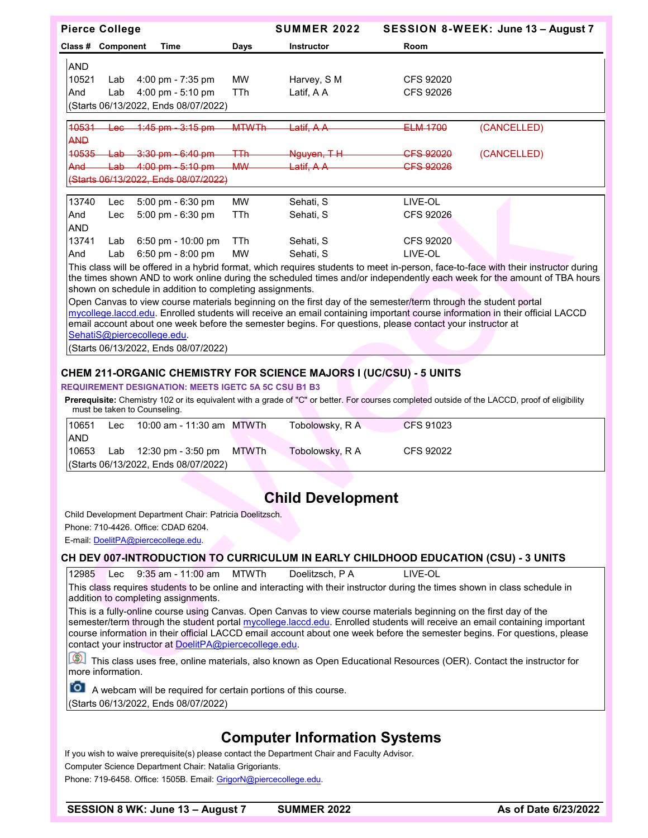|            | <b>Pierce College</b> |                                                 |              | <b>SUMMER 2022</b>     |                      | SESSION 8-WEEK: June 13 - August 7                                                                                                  |
|------------|-----------------------|-------------------------------------------------|--------------|------------------------|----------------------|-------------------------------------------------------------------------------------------------------------------------------------|
|            | Class # Component     | Time                                            | Days         | Instructor             | Room                 |                                                                                                                                     |
| <b>AND</b> |                       |                                                 |              |                        |                      |                                                                                                                                     |
| 10521      | Lab                   | $4:00 \text{ pm} - 7:35 \text{ pm}$             | <b>MW</b>    | Harvey, S M            | CFS 92020            |                                                                                                                                     |
| And        | Lab                   | $4:00 \text{ pm} - 5:10 \text{ pm}$             | TTh          | Latif, A A             | CFS 92026            |                                                                                                                                     |
|            |                       | (Starts 06/13/2022, Ends 08/07/2022)            |              |                        |                      |                                                                                                                                     |
|            |                       |                                                 |              |                        |                      |                                                                                                                                     |
| 40531      | <del>Lec</del>        | <del>1:45 pm - 3:15 pm</del>                    | <b>MTWTh</b> | <del>Latif, A A</del>  | ELM 1700             | (CANCELLED)                                                                                                                         |
| <b>AND</b> |                       |                                                 |              |                        |                      |                                                                                                                                     |
| 40535      |                       | $Lab - 3:30$ pm $-6:40$ pm                      | ŦТh          | <del>Nquyen, T H</del> | CFS 92020            | (CANCELLED)                                                                                                                         |
| And        | <del>Lab</del>        | $4:00 \text{ pm} - 5:10 \text{ pm}$             | <b>MW</b>    | <del>Latif, A A</del>  | <del>CFS 92026</del> |                                                                                                                                     |
|            |                       | <del>(Starts 06/13/2022, Ends 08/07/2022)</del> |              |                        |                      |                                                                                                                                     |
|            |                       |                                                 |              |                        |                      |                                                                                                                                     |
| 13740      | Lec                   | 5:00 pm $-6:30$ pm                              | <b>MW</b>    | Sehati, S              | LIVE-OL              |                                                                                                                                     |
| And        | Lec                   | $5:00 \text{ pm} - 6:30 \text{ pm}$             | TTh          | Sehati, S              | CFS 92026            |                                                                                                                                     |
| <b>AND</b> |                       |                                                 |              |                        |                      |                                                                                                                                     |
| 13741      | Lab                   | $6:50$ pm - 10:00 pm                            | TTh          | Sehati, S              | <b>CFS 92020</b>     |                                                                                                                                     |
| And        | Lab                   | 6:50 pm - 8:00 pm                               | <b>MW</b>    | Sehati, S              | LIVE-OL              |                                                                                                                                     |
|            |                       |                                                 |              |                        |                      | This class will be offered in a hybrid format, which requires students to meet in-person, face-to-face with their instructor during |

the times shown AND to work online during the scheduled times and/or independently each week for the amount of TBA hours shown on schedule in addition to completing assignments.

Open Canvas to view course materials beginning on the first day of the semester/term through the student portal mycollege.laccd.edu. Enrolled students will receive an email containing important course information in their official LACCD email account about one week before the semester begins. For questions, please contact your instructor at [SehatiS@piercecollege.edu.](mailto:SehatiS@piercecollege.edu)

(Starts 06/13/2022, Ends 08/07/2022)

## **CHEM 211-ORGANIC CHEMISTRY FOR SCIENCE MAJORS I (UC/CSU) - 5 UNITS**

#### **REQUIREMENT DESIGNATION: MEETS IGETC 5A 5C CSU B1 B3**

**Prerequisite:** Chemistry 102 or its equivalent with a grade of "C" or better. For courses completed outside of the LACCD, proof of eligibility must be taken to Counseling.

| 10651       | Lec | 10:00 am - 11:30 am MTWTh                      | Tobolowsky, R A | CFS 91023 |
|-------------|-----|------------------------------------------------|-----------------|-----------|
| <b>JAND</b> |     |                                                |                 |           |
| 10653       |     | Lab $12:30 \text{ pm} - 3:50 \text{ pm}$ MTWTh | Tobolowsky, R A | CFS 92022 |
|             |     | (Starts 06/13/2022, Ends 08/07/2022)           |                 |           |

# **Child Development**

Child Development Department Chair: Patricia Doelitzsch.

Phone: 710-4426. Office: CDAD 6204.

E-mail[: DoelitPA@piercecollege.edu.](mailto:DoelitPA@piercecollege.edu) 

#### **CH DEV 007-INTRODUCTION TO CURRICULUM IN EARLY CHILDHOOD EDUCATION (CSU) - 3 UNITS**

12985 Lec 9:35 am - 11:00 am MTWTh Doelitzsch, P A LIVE-OL

This class requires students to be online and interacting with their instructor during the times shown in class schedule in addition to completing assignments.

This is a fully-online course using Canvas. Open Canvas to view course materials beginning on the first day of the semester/term through the student portal mycollege.laccd.edu. Enrolled students will receive an email containing important course information in their official LACCD email account about one week before the semester begins. For questions, please contact your instructor at [DoelitPA@piercecollege.edu.](mailto:DoelitPA@piercecollege.edu)

This class uses free, online materials, also known as Open Educational Resources (OER). Contact the instructor for more information.

**O** A webcam will be required for certain portions of this course.

(Starts 06/13/2022, Ends 08/07/2022)

# **Computer Information Systems**

If you wish to waive prerequisite(s) please contact the Department Chair and Faculty Advisor. Computer Science Department Chair: Natalia Grigoriants. Phone: 719-6458. Office: 1505B. Email[: GrigorN@piercecollege.edu.](mailto:GrigorN@piercecollege.edu)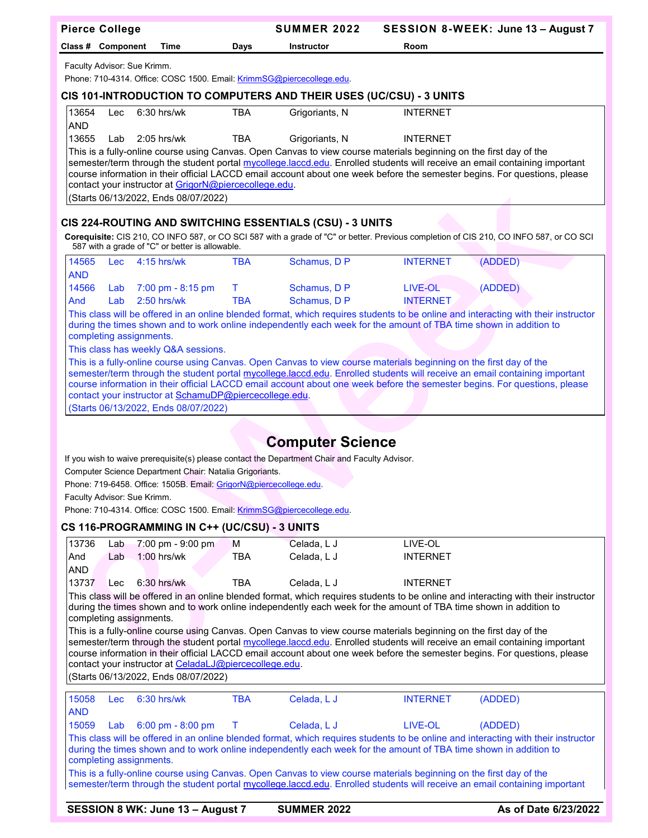|                     | <b>Pierce College</b>                                                                                                                                                                                                                                                                                                                                                                                                                                                          |                                                                                                      |            | <b>SUMMER 2022</b>                                                                                                 |                 | SESSION 8-WEEK: June 13 - August 7                                                                                                                                                                                                                      |  |  |  |
|---------------------|--------------------------------------------------------------------------------------------------------------------------------------------------------------------------------------------------------------------------------------------------------------------------------------------------------------------------------------------------------------------------------------------------------------------------------------------------------------------------------|------------------------------------------------------------------------------------------------------|------------|--------------------------------------------------------------------------------------------------------------------|-----------------|---------------------------------------------------------------------------------------------------------------------------------------------------------------------------------------------------------------------------------------------------------|--|--|--|
|                     | Class # Component                                                                                                                                                                                                                                                                                                                                                                                                                                                              | Time                                                                                                 | Days       | Instructor                                                                                                         | Room            |                                                                                                                                                                                                                                                         |  |  |  |
|                     |                                                                                                                                                                                                                                                                                                                                                                                                                                                                                | Faculty Advisor: Sue Krimm.<br>Phone: 710-4314. Office: COSC 1500. Email: KrimmSG@piercecollege.edu. |            |                                                                                                                    |                 |                                                                                                                                                                                                                                                         |  |  |  |
|                     | CIS 101-INTRODUCTION TO COMPUTERS AND THEIR USES (UC/CSU) - 3 UNITS                                                                                                                                                                                                                                                                                                                                                                                                            |                                                                                                      |            |                                                                                                                    |                 |                                                                                                                                                                                                                                                         |  |  |  |
| 13654               | Lec                                                                                                                                                                                                                                                                                                                                                                                                                                                                            | $6:30$ hrs/wk                                                                                        | <b>TBA</b> | Grigoriants, N                                                                                                     | <b>INTERNET</b> |                                                                                                                                                                                                                                                         |  |  |  |
| AND<br>13655        | Lab                                                                                                                                                                                                                                                                                                                                                                                                                                                                            | 2:05 hrs/wk                                                                                          | TBA        | Grigoriants, N                                                                                                     | <b>INTERNET</b> |                                                                                                                                                                                                                                                         |  |  |  |
|                     |                                                                                                                                                                                                                                                                                                                                                                                                                                                                                |                                                                                                      |            |                                                                                                                    |                 |                                                                                                                                                                                                                                                         |  |  |  |
|                     | This is a fully-online course using Canvas. Open Canvas to view course materials beginning on the first day of the<br>semester/term through the student portal mycollege.laccd.edu. Enrolled students will receive an email containing important<br>course information in their official LACCD email account about one week before the semester begins. For questions, please<br>contact your instructor at GrigorN@piercecollege.edu.<br>(Starts 06/13/2022, Ends 08/07/2022) |                                                                                                      |            |                                                                                                                    |                 |                                                                                                                                                                                                                                                         |  |  |  |
|                     |                                                                                                                                                                                                                                                                                                                                                                                                                                                                                |                                                                                                      |            | CIS 224-ROUTING AND SWITCHING ESSENTIALS (CSU) - 3 UNITS                                                           |                 |                                                                                                                                                                                                                                                         |  |  |  |
|                     |                                                                                                                                                                                                                                                                                                                                                                                                                                                                                | 587 with a grade of "C" or better is allowable.                                                      |            |                                                                                                                    |                 | Corequisite: CIS 210, CO INFO 587, or CO SCI 587 with a grade of "C" or better. Previous completion of CIS 210, CO INFO 587, or CO SCI                                                                                                                  |  |  |  |
| 14565<br><b>AND</b> | <b>Lec</b>                                                                                                                                                                                                                                                                                                                                                                                                                                                                     | 4:15 hrs/wk                                                                                          | <b>TBA</b> | Schamus, D P                                                                                                       | <b>INTERNET</b> | (ADDED)                                                                                                                                                                                                                                                 |  |  |  |
| 14566               | Lab                                                                                                                                                                                                                                                                                                                                                                                                                                                                            | 7:00 pm - 8:15 pm                                                                                    | Τ          | Schamus, D P                                                                                                       | LIVE-OL         | (ADDED)                                                                                                                                                                                                                                                 |  |  |  |
| And                 | Lab                                                                                                                                                                                                                                                                                                                                                                                                                                                                            | $2:50$ hrs/wk                                                                                        | <b>TBA</b> | Schamus, D P                                                                                                       | <b>INTERNET</b> |                                                                                                                                                                                                                                                         |  |  |  |
|                     |                                                                                                                                                                                                                                                                                                                                                                                                                                                                                | completing assignments.<br>This class has weekly Q&A sessions.                                       |            | during the times shown and to work online independently each week for the amount of TBA time shown in addition to  |                 | This class will be offered in an online blended format, which requires students to be online and interacting with their instructor                                                                                                                      |  |  |  |
|                     |                                                                                                                                                                                                                                                                                                                                                                                                                                                                                |                                                                                                      |            | This is a fully-online course using Canvas. Open Canvas to view course materials beginning on the first day of the |                 |                                                                                                                                                                                                                                                         |  |  |  |
|                     |                                                                                                                                                                                                                                                                                                                                                                                                                                                                                | contact your instructor at SchamuDP@piercecollege.edu.<br>(Starts 06/13/2022, Ends 08/07/2022)       |            |                                                                                                                    |                 | semester/term through the student portal mycollege.laccd.edu. Enrolled students will receive an email containing important<br>course information in their official LACCD email account about one week before the semester begins. For questions, please |  |  |  |
|                     |                                                                                                                                                                                                                                                                                                                                                                                                                                                                                |                                                                                                      |            |                                                                                                                    |                 |                                                                                                                                                                                                                                                         |  |  |  |
|                     |                                                                                                                                                                                                                                                                                                                                                                                                                                                                                |                                                                                                      |            |                                                                                                                    |                 |                                                                                                                                                                                                                                                         |  |  |  |
|                     |                                                                                                                                                                                                                                                                                                                                                                                                                                                                                |                                                                                                      |            | <b>Computer Science</b>                                                                                            |                 |                                                                                                                                                                                                                                                         |  |  |  |
|                     |                                                                                                                                                                                                                                                                                                                                                                                                                                                                                | Computer Science Department Chair: Natalia Grigoriants.                                              |            | If you wish to waive prerequisite(s) please contact the Department Chair and Faculty Advisor.                      |                 |                                                                                                                                                                                                                                                         |  |  |  |
|                     |                                                                                                                                                                                                                                                                                                                                                                                                                                                                                | Phone: 719-6458. Office: 1505B. Email: GrigorN@piercecollege.edu.                                    |            |                                                                                                                    |                 |                                                                                                                                                                                                                                                         |  |  |  |
|                     |                                                                                                                                                                                                                                                                                                                                                                                                                                                                                | Faculty Advisor: Sue Krimm.                                                                          |            |                                                                                                                    |                 |                                                                                                                                                                                                                                                         |  |  |  |
|                     |                                                                                                                                                                                                                                                                                                                                                                                                                                                                                | Phone: 710-4314. Office: COSC 1500. Email: KrimmSG@piercecollege.edu.                                |            |                                                                                                                    |                 |                                                                                                                                                                                                                                                         |  |  |  |
|                     |                                                                                                                                                                                                                                                                                                                                                                                                                                                                                | CS 116-PROGRAMMING IN C++ (UC/CSU) - 3 UNITS                                                         |            |                                                                                                                    |                 |                                                                                                                                                                                                                                                         |  |  |  |
| 13736               | Lab                                                                                                                                                                                                                                                                                                                                                                                                                                                                            | 7:00 pm - 9:00 pm                                                                                    | M          | Celada, L J                                                                                                        | LIVE-OL         |                                                                                                                                                                                                                                                         |  |  |  |
| And                 | Lab                                                                                                                                                                                                                                                                                                                                                                                                                                                                            | $1:00$ hrs/wk                                                                                        | <b>TBA</b> | Celada, L J                                                                                                        | <b>INTERNET</b> |                                                                                                                                                                                                                                                         |  |  |  |
| <b>AND</b><br>13737 |                                                                                                                                                                                                                                                                                                                                                                                                                                                                                | $6:30$ hrs/wk                                                                                        | <b>TBA</b> | Celada, L J                                                                                                        | <b>INTERNET</b> |                                                                                                                                                                                                                                                         |  |  |  |
|                     | Lec                                                                                                                                                                                                                                                                                                                                                                                                                                                                            |                                                                                                      |            |                                                                                                                    |                 | This class will be offered in an online blended format, which requires students to be online and interacting with their instructor                                                                                                                      |  |  |  |
|                     |                                                                                                                                                                                                                                                                                                                                                                                                                                                                                | completing assignments.                                                                              |            | during the times shown and to work online independently each week for the amount of TBA time shown in addition to  |                 |                                                                                                                                                                                                                                                         |  |  |  |
|                     |                                                                                                                                                                                                                                                                                                                                                                                                                                                                                |                                                                                                      |            | This is a fully-online course using Canvas. Open Canvas to view course materials beginning on the first day of the |                 |                                                                                                                                                                                                                                                         |  |  |  |
|                     |                                                                                                                                                                                                                                                                                                                                                                                                                                                                                |                                                                                                      |            |                                                                                                                    |                 | semester/term through the student portal mycollege.laccd.edu. Enrolled students will receive an email containing important<br>course information in their official LACCD email account about one week before the semester begins. For questions, please |  |  |  |
|                     |                                                                                                                                                                                                                                                                                                                                                                                                                                                                                | contact your instructor at CeladaLJ@piercecollege.edu.                                               |            |                                                                                                                    |                 |                                                                                                                                                                                                                                                         |  |  |  |
|                     |                                                                                                                                                                                                                                                                                                                                                                                                                                                                                | (Starts 06/13/2022, Ends 08/07/2022)                                                                 |            |                                                                                                                    |                 |                                                                                                                                                                                                                                                         |  |  |  |
| 15058               | Lec                                                                                                                                                                                                                                                                                                                                                                                                                                                                            | 6:30 hrs/wk                                                                                          | <b>TBA</b> | Celada, L J                                                                                                        | <b>INTERNET</b> | (ADDED)                                                                                                                                                                                                                                                 |  |  |  |
| <b>AND</b>          |                                                                                                                                                                                                                                                                                                                                                                                                                                                                                |                                                                                                      |            |                                                                                                                    |                 |                                                                                                                                                                                                                                                         |  |  |  |
| 15059               | Lab                                                                                                                                                                                                                                                                                                                                                                                                                                                                            | 6:00 pm - 8:00 pm                                                                                    | Τ          | Celada, L J                                                                                                        | LIVE-OL         | (ADDED)                                                                                                                                                                                                                                                 |  |  |  |
|                     |                                                                                                                                                                                                                                                                                                                                                                                                                                                                                | completing assignments.                                                                              |            | during the times shown and to work online independently each week for the amount of TBA time shown in addition to  |                 | This class will be offered in an online blended format, which requires students to be online and interacting with their instructor                                                                                                                      |  |  |  |
|                     |                                                                                                                                                                                                                                                                                                                                                                                                                                                                                |                                                                                                      |            | This is a fully-online course using Canvas. Open Canvas to view course materials beginning on the first day of the |                 |                                                                                                                                                                                                                                                         |  |  |  |
|                     |                                                                                                                                                                                                                                                                                                                                                                                                                                                                                |                                                                                                      |            |                                                                                                                    |                 | semester/term through the student portal mycollege.laccd.edu. Enrolled students will receive an email containing important                                                                                                                              |  |  |  |
|                     |                                                                                                                                                                                                                                                                                                                                                                                                                                                                                | SESSION 8 WK: June 13 - August 7                                                                     |            | <b>SUMMER 2022</b>                                                                                                 |                 | As of Date 6/23/2022                                                                                                                                                                                                                                    |  |  |  |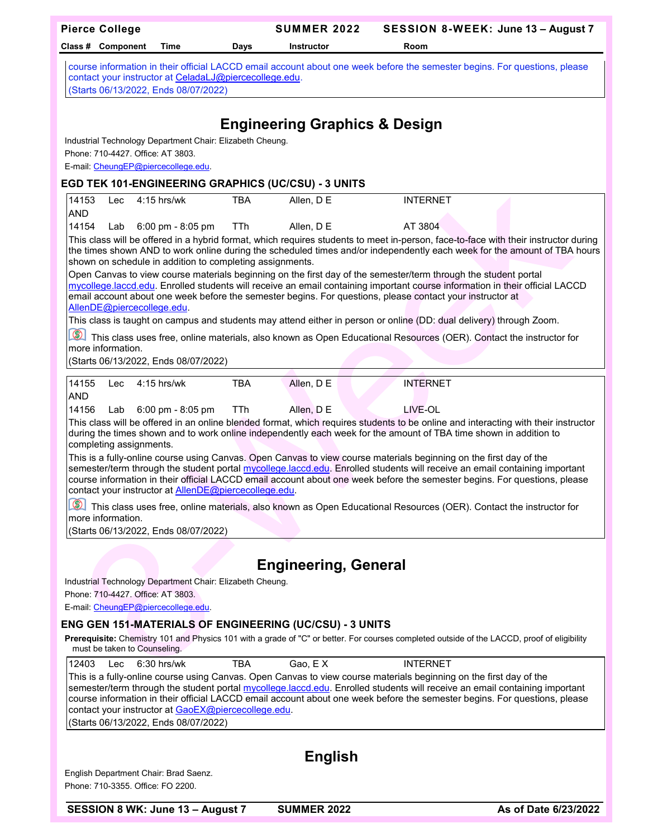| <b>Pierce College</b>                                                                                                                                                                               |            | <b>SUMMER 2022</b>                       | SESSION 8-WEEK: June 13 - August 7                                                                                                                                                                                                                                                                                                                                                                                                                                                                                            |
|-----------------------------------------------------------------------------------------------------------------------------------------------------------------------------------------------------|------------|------------------------------------------|-------------------------------------------------------------------------------------------------------------------------------------------------------------------------------------------------------------------------------------------------------------------------------------------------------------------------------------------------------------------------------------------------------------------------------------------------------------------------------------------------------------------------------|
| Class # Component<br>Time                                                                                                                                                                           | Days       | <b>Instructor</b>                        | Room                                                                                                                                                                                                                                                                                                                                                                                                                                                                                                                          |
| contact your instructor at CeladaLJ@piercecollege.edu.<br>(Starts 06/13/2022, Ends 08/07/2022)                                                                                                      |            |                                          | course information in their official LACCD email account about one week before the semester begins. For questions, please                                                                                                                                                                                                                                                                                                                                                                                                     |
| Industrial Technology Department Chair: Elizabeth Cheung.<br>Phone: 710-4427, Office: AT 3803.<br>E-mail: CheungEP@piercecollege.edu.<br><b>EGD TEK 101-ENGINEERING GRAPHICS (UC/CSU) - 3 UNITS</b> |            | <b>Engineering Graphics &amp; Design</b> |                                                                                                                                                                                                                                                                                                                                                                                                                                                                                                                               |
| 14153<br>$4:15$ hrs/wk<br>Lec                                                                                                                                                                       | <b>TBA</b> | Allen, D E                               | <b>INTERNET</b>                                                                                                                                                                                                                                                                                                                                                                                                                                                                                                               |
| <b>AND</b>                                                                                                                                                                                          |            |                                          |                                                                                                                                                                                                                                                                                                                                                                                                                                                                                                                               |
| 14154<br>Lab<br>6:00 pm - 8:05 pm<br>shown on schedule in addition to completing assignments.                                                                                                       | TTh        | Allen, D E                               | AT 3804<br>This class will be offered in a hybrid format, which requires students to meet in-person, face-to-face with their instructor during<br>the times shown AND to work online during the scheduled times and/or independently each week for the amount of TBA hours<br>Open Canvas to view course materials beginning on the first day of the semester/term through the student portal<br>mycollege.laccd.edu. Enrolled students will receive an email containing important course information in their official LACCD |
| email account about one week before the semester begins. For questions, please contact your instructor at<br>AllenDE@piercecollege.edu.                                                             |            |                                          |                                                                                                                                                                                                                                                                                                                                                                                                                                                                                                                               |
| $^{\circledR}$<br>more information.<br>(Starts 06/13/2022, Ends 08/07/2022)                                                                                                                         |            |                                          | This class is taught on campus and students may attend either in person or online (DD: dual delivery) through Zoom.<br>This class uses free, online materials, also known as Open Educational Resources (OER). Contact the instructor for                                                                                                                                                                                                                                                                                     |
|                                                                                                                                                                                                     |            |                                          |                                                                                                                                                                                                                                                                                                                                                                                                                                                                                                                               |
| 14155<br>$4:15$ hrs/wk<br>Lec<br><b>AND</b>                                                                                                                                                         | <b>TBA</b> | Allen, D E                               | <b>INTERNET</b>                                                                                                                                                                                                                                                                                                                                                                                                                                                                                                               |
| 14156<br>6:00 pm - 8:05 pm<br>Lab<br>completing assignments.                                                                                                                                        | TTh        | Allen, D E                               | LIVE-OL<br>This class will be offered in an online blended format, which requires students to be online and interacting with their instructor<br>during the times shown and to work online independently each week for the amount of TBA time shown in addition to                                                                                                                                                                                                                                                            |
| contact your instructor at <b>AllenDE@piercecollege.edu</b> .                                                                                                                                       |            |                                          | This is a fully-online course using Canvas. Open Canvas to view course materials beginning on the first day of the<br>semester/term through the student portal mycollege.laccd.edu. Enrolled students will receive an email containing important<br>course information in their official LACCD email account about one week before the semester begins. For questions, please                                                                                                                                                 |
| more information.<br>(Starts 06/13/2022, Ends 08/07/2022)                                                                                                                                           |            |                                          | This class uses free, online materials, also known as Open Educational Resources (OER). Contact the instructor for                                                                                                                                                                                                                                                                                                                                                                                                            |
|                                                                                                                                                                                                     |            |                                          |                                                                                                                                                                                                                                                                                                                                                                                                                                                                                                                               |
|                                                                                                                                                                                                     |            | <b>Engineering, General</b>              |                                                                                                                                                                                                                                                                                                                                                                                                                                                                                                                               |
| Industrial Technology Department Chair: Elizabeth Cheung.<br>Phone: 710-4427, Office: AT 3803.<br>E-mail: CheungEP@piercecollege.edu.                                                               |            |                                          |                                                                                                                                                                                                                                                                                                                                                                                                                                                                                                                               |
| <b>ENG GEN 151-MATERIALS OF ENGINEERING (UC/CSU) - 3 UNITS</b>                                                                                                                                      |            |                                          |                                                                                                                                                                                                                                                                                                                                                                                                                                                                                                                               |
| must be taken to Counseling.                                                                                                                                                                        |            |                                          | Prerequisite: Chemistry 101 and Physics 101 with a grade of "C" or better. For courses completed outside of the LACCD, proof of eligibility                                                                                                                                                                                                                                                                                                                                                                                   |
| 12403<br>$6:30$ hrs/wk<br>Lec<br>contact your instructor at GaoEX@piercecollege.edu.<br>(Starts 06/13/2022, Ends 08/07/2022)                                                                        | <b>TBA</b> | Gao, EX                                  | <b>INTERNET</b><br>This is a fully-online course using Canvas. Open Canvas to view course materials beginning on the first day of the<br>semester/term through the student portal mycollege.laccd.edu. Enrolled students will receive an email containing important<br>course information in their official LACCD email account about one week before the semester begins. For questions, please                                                                                                                              |
|                                                                                                                                                                                                     |            |                                          |                                                                                                                                                                                                                                                                                                                                                                                                                                                                                                                               |
|                                                                                                                                                                                                     |            | <b>English</b>                           |                                                                                                                                                                                                                                                                                                                                                                                                                                                                                                                               |
| English Department Chair: Brad Saenz.<br>Phone: 710-3355. Office: FO 2200.                                                                                                                          |            |                                          |                                                                                                                                                                                                                                                                                                                                                                                                                                                                                                                               |
| SESSION 8 WK: June 13 - August 7                                                                                                                                                                    |            | <b>SUMMER 2022</b>                       | As of Date 6/23/2022                                                                                                                                                                                                                                                                                                                                                                                                                                                                                                          |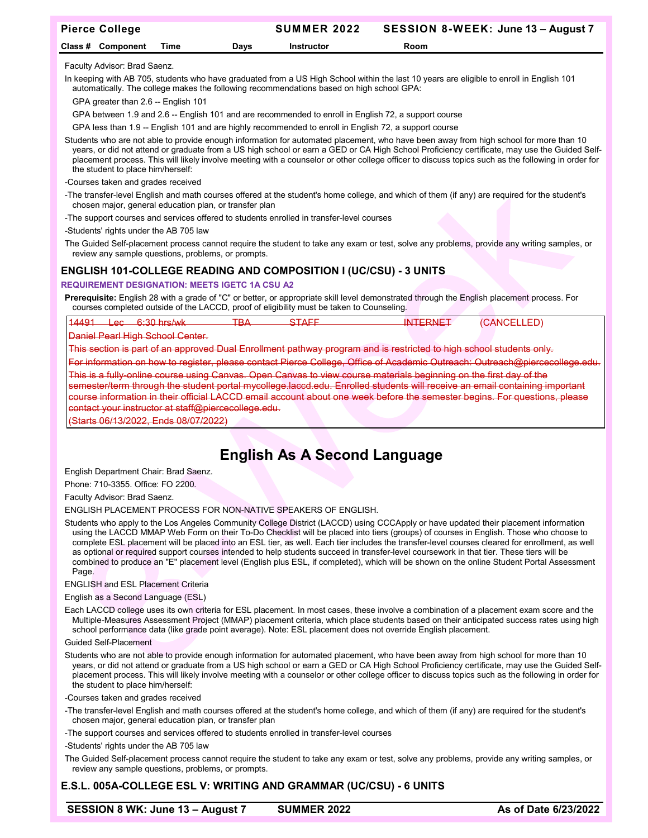| <b>Pierce College</b> |                   |      |      | <b>SUMMER 2022</b> | SESSION 8-WEEK: June 13 - August 7 |
|-----------------------|-------------------|------|------|--------------------|------------------------------------|
|                       | Class # Component | Time | Davs | Instructor         | <b>Room</b>                        |

Faculty Advisor: Brad Saenz.

In keeping with AB 705, students who have graduated from a US High School within the last 10 years are eligible to enroll in English 101 automatically. The college makes the following recommendations based on high school GPA:

GPA greater than 2.6 -- English 101

GPA between 1.9 and 2.6 -- English 101 and are recommended to enroll in English 72, a support course

GPA less than 1.9 -- English 101 and are highly recommended to enroll in English 72, a support course

Students who are not able to provide enough information for automated placement, who have been away from high school for more than 10 years, or did not attend or graduate from a US high school or earn a GED or CA High School Proficiency certificate, may use the Guided Selfplacement process. This will likely involve meeting with a counselor or other college officer to discuss topics such as the following in order for the student to place him/herself:

-Courses taken and grades received

-The transfer-level English and math courses offered at the student's home college, and which of them (if any) are required for the student's chosen major, general education plan, or transfer plan

-The support courses and services offered to students enrolled in transfer-level courses

-Students' rights under the AB 705 law

The Guided Self-placement process cannot require the student to take any exam or test, solve any problems, provide any writing samples, or review any sample questions, problems, or prompts.

## **ENGLISH 101-COLLEGE READING AND COMPOSITION I (UC/CSU) - 3 UNITS**

#### **REQUIREMENT DESIGNATION: MEETS IGETC 1A CSU A2**

**Prerequisite:** English 28 with a grade of "C" or better, or appropriate skill level demonstrated through the English placement process. For courses completed outside of the LACCD, proof of eligibility must be taken to Counseling.

| 1 A A   | $\sim$ | חכ<br>$\lambda \lambda \lambda$                  |             | ∟ו∧כ                                                                                                                                                                                                                                 | "ANG |
|---------|--------|--------------------------------------------------|-------------|--------------------------------------------------------------------------------------------------------------------------------------------------------------------------------------------------------------------------------------|------|
| _______ | ╍      | $\overline{u}$ , we have a set of $\overline{u}$ | <u>тот.</u> | <u>The Communication of the Communication of the Communication of the Communication of the Communication of the Communication of the Communication of the Communication of the Communication of the Communication of the Communi</u> | ---  |
|         |        |                                                  |             |                                                                                                                                                                                                                                      |      |

Daniel Pearl High School Center.

This section is part of an approved Dual Enrollment pathway program and is restricted to high

on how to register, please contact Pierce College, Office of Academic

is a fully-online course using Canvas. Open Canvas to view course materials beginning on the first day of the semester/term through the student portal mycollege.laccd.edu. Enrolled students will receive an email containing important course information in their official LACCD email account about one week before the semester begins. For questions, please contact your instructor at [staff@piercecollege.edu.](mailto:staff@piercecollege.edu)

(Starts 06/13/2022, Ends 08/07/2022)

# **English As A Second Language**

English Department Chair: Brad Saenz.

Phone: 710-3355. Office: FO 2200.

Faculty Advisor: Brad Saenz.

#### ENGLISH PLACEMENT PROCESS FOR NON-NATIVE SPEAKERS OF ENGLISH.

Students who apply to the Los Angeles Community College District (LACCD) using CCCApply or have updated their placement information using the LACCD MMAP Web Form on their To-Do Checklist will be placed into tiers (groups) of courses in English. Those who choose to complete ESL placement will be placed into an ESL tier, as well. Each tier includes the transfer-level courses cleared for enrollment, as well as optional or required support courses intended to help students succeed in transfer-level coursework in that tier. These tiers will be combined to produce an "E" placement level (English plus ESL, if completed), which will be shown on the online Student Portal Assessment Page.

ENGLISH and ESL Placement Criteria

#### English as a Second Language (ESL)

Each LACCD college uses its own criteria for ESL placement. In most cases, these involve a combination of a placement exam score and the Multiple-Measures Assessment Project (MMAP) placement criteria, which place students based on their anticipated success rates using high school performance data (like grade point average). Note: ESL placement does not override English placement.

#### Guided Self-Placement

Students who are not able to provide enough information for automated placement, who have been away from high school for more than 10 years, or did not attend or graduate from a US high school or earn a GED or CA High School Proficiency certificate, may use the Guided Selfplacement process. This will likely involve meeting with a counselor or other college officer to discuss topics such as the following in order for the student to place him/herself:

-Courses taken and grades received

-The transfer-level English and math courses offered at the student's home college, and which of them (if any) are required for the student's chosen major, general education plan, or transfer plan

-The support courses and services offered to students enrolled in transfer-level courses

-Students' rights under the AB 705 law

The Guided Self-placement process cannot require the student to take any exam or test, solve any problems, provide any writing samples, or review any sample questions, problems, or prompts.

## **E.S.L. 005A-COLLEGE ESL V: WRITING AND GRAMMAR (UC/CSU) - 6 UNITS**

**SESSION 8 WK: June 13 – August 7 SUMMER 2022 As of Date 6/23/2022** As of Date 6/23/2022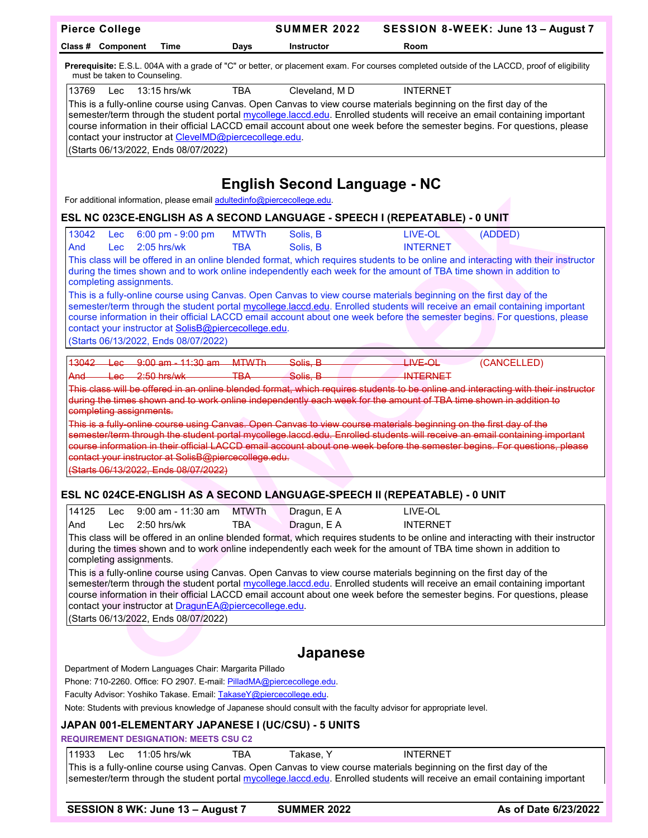|               | <b>Pierce College</b>                        |                                                                                                                                                                                                                                                        |                            | <b>SUMMER 2022</b>                                             | SESSION 8-WEEK: June 13 - August 7                                                                                                                                                                                                                                                                                                                                                                                                                                                                                                                                                                                                                                      |             |
|---------------|----------------------------------------------|--------------------------------------------------------------------------------------------------------------------------------------------------------------------------------------------------------------------------------------------------------|----------------------------|----------------------------------------------------------------|-------------------------------------------------------------------------------------------------------------------------------------------------------------------------------------------------------------------------------------------------------------------------------------------------------------------------------------------------------------------------------------------------------------------------------------------------------------------------------------------------------------------------------------------------------------------------------------------------------------------------------------------------------------------------|-------------|
|               | Class # Component                            | Time                                                                                                                                                                                                                                                   | Days                       | <b>Instructor</b>                                              | Room                                                                                                                                                                                                                                                                                                                                                                                                                                                                                                                                                                                                                                                                    |             |
|               | must be taken to Counseling.                 |                                                                                                                                                                                                                                                        |                            |                                                                | Prerequisite: E.S.L. 004A with a grade of "C" or better, or placement exam. For courses completed outside of the LACCD, proof of eligibility                                                                                                                                                                                                                                                                                                                                                                                                                                                                                                                            |             |
| 13769         | Lec                                          | 13:15 hrs/wk<br>contact your instructor at ClevelMD@piercecollege.edu.<br>(Starts 06/13/2022, Ends 08/07/2022)                                                                                                                                         | <b>TBA</b>                 | Cleveland, MD                                                  | <b>INTERNET</b><br>This is a fully-online course using Canvas. Open Canvas to view course materials beginning on the first day of the<br>semester/term through the student portal mycollege.laccd.edu. Enrolled students will receive an email containing important<br>course information in their official LACCD email account about one week before the semester begins. For questions, please                                                                                                                                                                                                                                                                        |             |
|               |                                              | For additional information, please email adultedinfo@piercecollege.edu.                                                                                                                                                                                |                            | <b>English Second Language - NC</b>                            |                                                                                                                                                                                                                                                                                                                                                                                                                                                                                                                                                                                                                                                                         |             |
|               |                                              |                                                                                                                                                                                                                                                        |                            |                                                                | ESL NC 023CE-ENGLISH AS A SECOND LANGUAGE - SPEECH I (REPEATABLE) - 0 UNIT                                                                                                                                                                                                                                                                                                                                                                                                                                                                                                                                                                                              |             |
| 13042<br>And  | Lec<br>Lec                                   | 6:00 pm - 9:00 pm<br>$2:05$ hrs/wk                                                                                                                                                                                                                     | <b>MTWTh</b><br><b>TBA</b> | Solis, B<br>Solis, B                                           | LIVE-OL<br><b>INTERNET</b><br>This class will be offered in an online blended format, which requires students to be online and interacting with their instructor                                                                                                                                                                                                                                                                                                                                                                                                                                                                                                        | (ADDED)     |
|               | completing assignments.                      | contact your instructor at SolisB@piercecollege.edu.<br>(Starts 06/13/2022, Ends 08/07/2022)                                                                                                                                                           |                            |                                                                | during the times shown and to work online independently each week for the amount of TBA time shown in addition to<br>This is a fully-online course using Canvas. Open Canvas to view course materials beginning on the first day of the<br>semester/term through the student portal mycollege.laccd.edu. Enrolled students will receive an email containing important<br>course information in their official LACCD email account about one week before the semester begins. For questions, please                                                                                                                                                                      |             |
| 13042<br>And- | $+$ ec $-$<br>completing assignments.        | $\frac{1}{2}$ Lec $\frac{9:00}{2}$ am $\frac{11:30}{2}$ am<br>$-2:50$ hrs/wk                                                                                                                                                                           | <b>MTWTh</b><br>TBA.       | Solis, B<br>Solis, B                                           | $HWE$ OL<br><b>INTERNET</b><br>This class will be offered in an online blended format, which requires students to be online and interacting with their instructor<br>during the times shown and to work online independently each week for the amount of TBA time shown in addition to<br>This is a fully-online course using Canvas. Open Canvas to view course materials beginning on the first day of the<br>semester/term through the student portal mycollege.laccd.edu. Enrolled students will receive an email containing important<br>course information in their official LACCD email account about one week before the semester begins. For questions, please | (CANCELLED) |
|               |                                              | contact your instructor at SolisB@piercecollege.edu.<br>(Starts 06/13/2022, Ends 08/07/2022)                                                                                                                                                           |                            |                                                                |                                                                                                                                                                                                                                                                                                                                                                                                                                                                                                                                                                                                                                                                         |             |
|               |                                              |                                                                                                                                                                                                                                                        |                            |                                                                | ESL NC 024CE-ENGLISH AS A SECOND LANGUAGE-SPEECH II (REPEATABLE) - 0 UNIT                                                                                                                                                                                                                                                                                                                                                                                                                                                                                                                                                                                               |             |
| 14125<br>And  | <b>Lec</b><br>Lec<br>completing assignments. | $9:00$ am - 11:30 am<br>$2:50$ hrs/wk<br>contact your instructor at DragunEA@piercecollege.edu.<br>(Starts 06/13/2022, Ends 08/07/2022)                                                                                                                | <b>MTWTh</b><br><b>TBA</b> | Dragun, E A<br>Dragun, E A                                     | LIVE-OL<br><b>INTERNET</b><br>This class will be offered in an online blended format, which requires students to be online and interacting with their instructor<br>during the times shown and to work online independently each week for the amount of TBA time shown in addition to<br>This is a fully-online course using Canvas. Open Canvas to view course materials beginning on the first day of the<br>semester/term through the student portal mycollege.laccd.edu. Enrolled students will receive an email containing important<br>course information in their official LACCD email account about one week before the semester begins. For questions, please  |             |
|               |                                              |                                                                                                                                                                                                                                                        |                            |                                                                |                                                                                                                                                                                                                                                                                                                                                                                                                                                                                                                                                                                                                                                                         |             |
|               |                                              | Department of Modern Languages Chair: Margarita Pillado<br>Phone: 710-2260. Office: FO 2907. E-mail: PilladMA@piercecollege.edu.<br>Faculty Advisor: Yoshiko Takase. Email: TakaseY@piercecollege.edu.<br><b>REQUIREMENT DESIGNATION: MEETS CSU C2</b> |                            | Japanese<br>JAPAN 001-ELEMENTARY JAPANESE I (UC/CSU) - 5 UNITS | Note: Students with previous knowledge of Japanese should consult with the faculty advisor for appropriate level.                                                                                                                                                                                                                                                                                                                                                                                                                                                                                                                                                       |             |
| 11933         | Lec                                          | 11:05 hrs/wk                                                                                                                                                                                                                                           | <b>TBA</b>                 | Takase, Y                                                      | <b>INTERNET</b><br>This is a fully-online course using Canvas. Open Canvas to view course materials beginning on the first day of the<br>semester/term through the student portal mycollege.laccd.edu. Enrolled students will receive an email containing important                                                                                                                                                                                                                                                                                                                                                                                                     |             |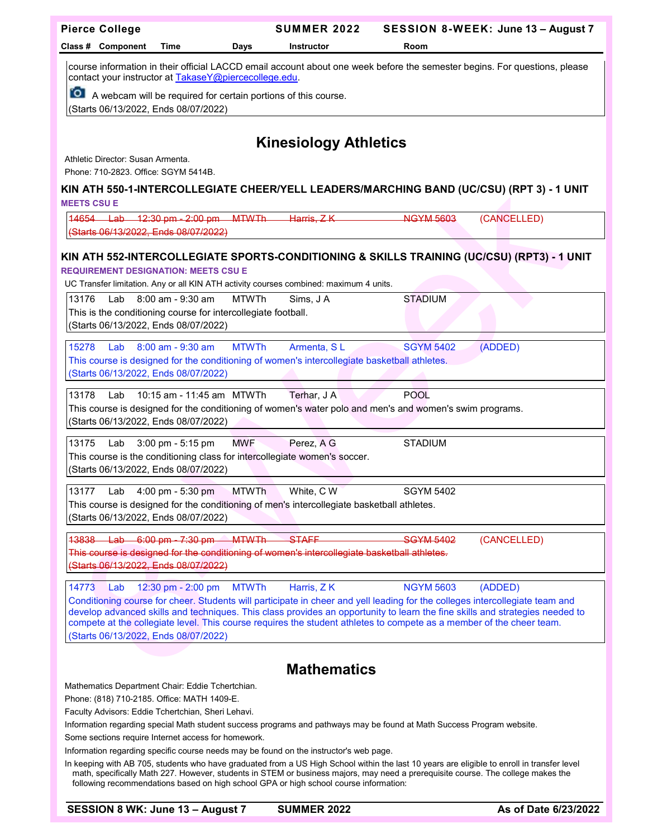| <b>Pierce College</b>                                                                                                                                                                                                                                                                                 |                                                                                                                                                                                                                                                      |              | <b>SUMMER 2022</b>                                                                                      |                  | SESSION 8-WEEK: June 13 - August 7                                                                                           |  |
|-------------------------------------------------------------------------------------------------------------------------------------------------------------------------------------------------------------------------------------------------------------------------------------------------------|------------------------------------------------------------------------------------------------------------------------------------------------------------------------------------------------------------------------------------------------------|--------------|---------------------------------------------------------------------------------------------------------|------------------|------------------------------------------------------------------------------------------------------------------------------|--|
| Class # Component                                                                                                                                                                                                                                                                                     | Time                                                                                                                                                                                                                                                 | Days         | <b>Instructor</b>                                                                                       | Room             |                                                                                                                              |  |
| course information in their official LACCD email account about one week before the semester begins. For questions, please<br>contact your instructor at TakaseY@piercecollege.edu.<br><b>O</b> A webcam will be required for certain portions of this course.<br>(Starts 06/13/2022, Ends 08/07/2022) |                                                                                                                                                                                                                                                      |              |                                                                                                         |                  |                                                                                                                              |  |
|                                                                                                                                                                                                                                                                                                       |                                                                                                                                                                                                                                                      |              | <b>Kinesiology Athletics</b>                                                                            |                  |                                                                                                                              |  |
| Athletic Director: Susan Armenta.                                                                                                                                                                                                                                                                     |                                                                                                                                                                                                                                                      |              |                                                                                                         |                  |                                                                                                                              |  |
| Phone: 710-2823, Office: SGYM 5414B.                                                                                                                                                                                                                                                                  |                                                                                                                                                                                                                                                      |              |                                                                                                         |                  |                                                                                                                              |  |
|                                                                                                                                                                                                                                                                                                       |                                                                                                                                                                                                                                                      |              |                                                                                                         |                  | KIN ATH 550-1-INTERCOLLEGIATE CHEER/YELL LEADERS/MARCHING BAND (UC/CSU) (RPT 3) - 1 UNIT                                     |  |
| <b>MEETS CSU E</b>                                                                                                                                                                                                                                                                                    |                                                                                                                                                                                                                                                      |              |                                                                                                         |                  |                                                                                                                              |  |
| 14654 Lab 12:30 pm - 2:00 pm MTWTh -<br>(Starts 06/13/2022, Ends 08/07/2022)                                                                                                                                                                                                                          |                                                                                                                                                                                                                                                      |              | Harris, ZK                                                                                              | <b>NGYM 5603</b> | (CANCELLED)                                                                                                                  |  |
|                                                                                                                                                                                                                                                                                                       |                                                                                                                                                                                                                                                      |              |                                                                                                         |                  |                                                                                                                              |  |
| <b>REQUIREMENT DESIGNATION: MEETS CSU E</b>                                                                                                                                                                                                                                                           |                                                                                                                                                                                                                                                      |              |                                                                                                         |                  | KIN ATH 552-INTERCOLLEGIATE SPORTS-CONDITIONING & SKILLS TRAINING (UC/CSU) (RPT3) - 1 UNIT                                   |  |
|                                                                                                                                                                                                                                                                                                       |                                                                                                                                                                                                                                                      |              | UC Transfer limitation. Any or all KIN ATH activity courses combined: maximum 4 units.                  |                  |                                                                                                                              |  |
| 13176<br>Lab                                                                                                                                                                                                                                                                                          | $8:00$ am - $9:30$ am                                                                                                                                                                                                                                | <b>MTWTh</b> | Sims, J A                                                                                               | <b>STADIUM</b>   |                                                                                                                              |  |
| This is the conditioning course for intercollegiate football.                                                                                                                                                                                                                                         |                                                                                                                                                                                                                                                      |              |                                                                                                         |                  |                                                                                                                              |  |
| (Starts 06/13/2022, Ends 08/07/2022)                                                                                                                                                                                                                                                                  |                                                                                                                                                                                                                                                      |              |                                                                                                         |                  |                                                                                                                              |  |
| 15278<br>Lab                                                                                                                                                                                                                                                                                          | 8:00 am - 9:30 am                                                                                                                                                                                                                                    | <b>MTWTh</b> | Armenta, SL                                                                                             | <b>SGYM 5402</b> | (ADDED)                                                                                                                      |  |
|                                                                                                                                                                                                                                                                                                       |                                                                                                                                                                                                                                                      |              | This course is designed for the conditioning of women's intercollegiate basketball athletes.            |                  |                                                                                                                              |  |
| (Starts 06/13/2022, Ends 08/07/2022)                                                                                                                                                                                                                                                                  |                                                                                                                                                                                                                                                      |              |                                                                                                         |                  |                                                                                                                              |  |
| 13178<br>Lab                                                                                                                                                                                                                                                                                          | 10:15 am - 11:45 am MTWTh                                                                                                                                                                                                                            |              | Terhar, J A                                                                                             | <b>POOL</b>      |                                                                                                                              |  |
| (Starts 06/13/2022, Ends 08/07/2022)                                                                                                                                                                                                                                                                  |                                                                                                                                                                                                                                                      |              | This course is designed for the conditioning of women's water polo and men's and women's swim programs. |                  |                                                                                                                              |  |
|                                                                                                                                                                                                                                                                                                       |                                                                                                                                                                                                                                                      |              |                                                                                                         |                  |                                                                                                                              |  |
| 13175<br>Lab                                                                                                                                                                                                                                                                                          | 3:00 pm - 5:15 pm                                                                                                                                                                                                                                    | <b>MWF</b>   | Perez, A G<br>This course is the conditioning class for intercollegiate women's soccer.                 | <b>STADIUM</b>   |                                                                                                                              |  |
| (Starts 06/13/2022, Ends 08/07/2022)                                                                                                                                                                                                                                                                  |                                                                                                                                                                                                                                                      |              |                                                                                                         |                  |                                                                                                                              |  |
| 13177<br>Lab                                                                                                                                                                                                                                                                                          | 4:00 pm - 5:30 pm                                                                                                                                                                                                                                    | <b>MTWTh</b> | White, C W                                                                                              | <b>SGYM 5402</b> |                                                                                                                              |  |
|                                                                                                                                                                                                                                                                                                       |                                                                                                                                                                                                                                                      |              | This course is designed for the conditioning of men's intercollegiate basketball athletes.              |                  |                                                                                                                              |  |
| (Starts 06/13/2022, Ends 08/07/2022)                                                                                                                                                                                                                                                                  |                                                                                                                                                                                                                                                      |              |                                                                                                         |                  |                                                                                                                              |  |
| 13838<br><del>Lab</del>                                                                                                                                                                                                                                                                               | $-6:00 \text{ pm} - 7:30 \text{ pm}$                                                                                                                                                                                                                 | <b>MTWTh</b> | <b>STAFF</b>                                                                                            | <b>SGYM 5402</b> | (CANCELLED)                                                                                                                  |  |
|                                                                                                                                                                                                                                                                                                       |                                                                                                                                                                                                                                                      |              | This course is designed for the conditioning of women's intercollegiate basketball athletes.            |                  |                                                                                                                              |  |
| (Starts 06/13/2022, Ends 08/07/2022)                                                                                                                                                                                                                                                                  |                                                                                                                                                                                                                                                      |              |                                                                                                         |                  |                                                                                                                              |  |
| 14773<br>Lab                                                                                                                                                                                                                                                                                          | 12:30 pm - 2:00 pm                                                                                                                                                                                                                                   | <b>MTWTh</b> | Harris, ZK                                                                                              | <b>NGYM 5603</b> | (ADDED)                                                                                                                      |  |
|                                                                                                                                                                                                                                                                                                       |                                                                                                                                                                                                                                                      |              |                                                                                                         |                  | Conditioning course for cheer. Students will participate in cheer and yell leading for the colleges intercollegiate team and |  |
|                                                                                                                                                                                                                                                                                                       | develop advanced skills and techniques. This class provides an opportunity to learn the fine skills and strategies needed to<br>compete at the collegiate level. This course requires the student athletes to compete as a member of the cheer team. |              |                                                                                                         |                  |                                                                                                                              |  |
| (Starts 06/13/2022, Ends 08/07/2022)                                                                                                                                                                                                                                                                  |                                                                                                                                                                                                                                                      |              |                                                                                                         |                  |                                                                                                                              |  |
|                                                                                                                                                                                                                                                                                                       |                                                                                                                                                                                                                                                      |              |                                                                                                         |                  |                                                                                                                              |  |
|                                                                                                                                                                                                                                                                                                       |                                                                                                                                                                                                                                                      |              | <b>Mathematics</b>                                                                                      |                  |                                                                                                                              |  |
| Mathematics Department Chair: Eddie Tchertchian.                                                                                                                                                                                                                                                      |                                                                                                                                                                                                                                                      |              |                                                                                                         |                  |                                                                                                                              |  |
| Phone: (818) 710-2185. Office: MATH 1409-E.<br>Faculty Advisors: Eddie Tchertchian, Sheri Lehavi.                                                                                                                                                                                                     |                                                                                                                                                                                                                                                      |              |                                                                                                         |                  |                                                                                                                              |  |
| Information regarding special Math student success programs and pathways may be found at Math Success Program website.                                                                                                                                                                                |                                                                                                                                                                                                                                                      |              |                                                                                                         |                  |                                                                                                                              |  |
| Some sections require Internet access for homework.                                                                                                                                                                                                                                                   |                                                                                                                                                                                                                                                      |              |                                                                                                         |                  |                                                                                                                              |  |

Information regarding specific course needs may be found on the instructor's web page.

In keeping with AB 705, students who have graduated from a US High School within the last 10 years are eligible to enroll in transfer level math, specifically Math 227. However, students in STEM or business majors, may need a prerequisite course. The college makes the following recommendations based on high school GPA or high school course information: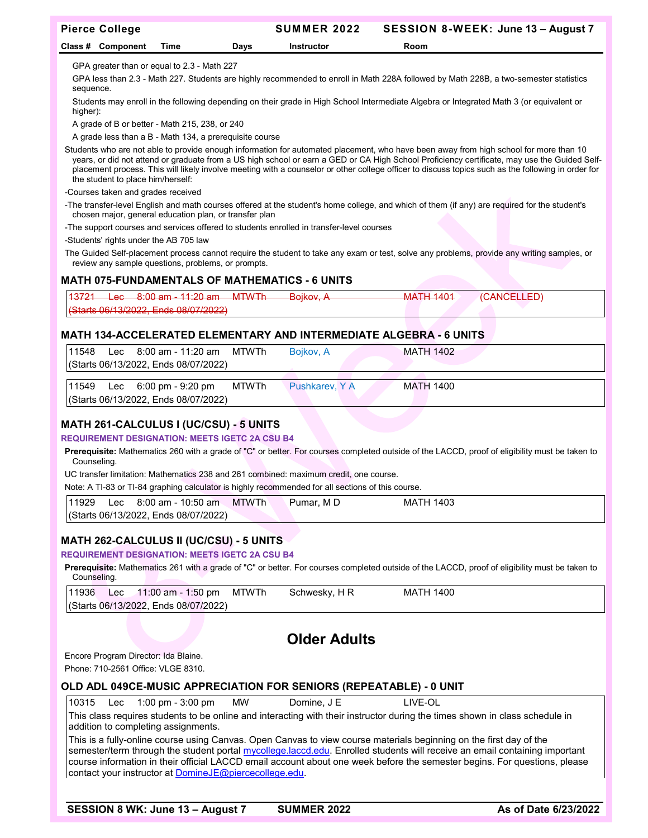| <b>Pierce College</b>                                              |                                                                                                                                                                                                                                                                                                                                                                                                                                                                                  |              | <b>SUMMER 2022</b>                                                                                |                                                                                                                    | SESSION 8-WEEK: June 13 - August 7                                                                                                             |  |  |  |
|--------------------------------------------------------------------|----------------------------------------------------------------------------------------------------------------------------------------------------------------------------------------------------------------------------------------------------------------------------------------------------------------------------------------------------------------------------------------------------------------------------------------------------------------------------------|--------------|---------------------------------------------------------------------------------------------------|--------------------------------------------------------------------------------------------------------------------|------------------------------------------------------------------------------------------------------------------------------------------------|--|--|--|
| Class # Component                                                  | Time                                                                                                                                                                                                                                                                                                                                                                                                                                                                             | Days         | <b>Instructor</b>                                                                                 | Room                                                                                                               |                                                                                                                                                |  |  |  |
|                                                                    |                                                                                                                                                                                                                                                                                                                                                                                                                                                                                  |              |                                                                                                   |                                                                                                                    |                                                                                                                                                |  |  |  |
| sequence.                                                          | GPA greater than or equal to 2.3 - Math 227<br>GPA less than 2.3 - Math 227. Students are highly recommended to enroll in Math 228A followed by Math 228B, a two-semester statistics                                                                                                                                                                                                                                                                                             |              |                                                                                                   |                                                                                                                    |                                                                                                                                                |  |  |  |
| higher):                                                           | Students may enroll in the following depending on their grade in High School Intermediate Algebra or Integrated Math 3 (or equivalent or                                                                                                                                                                                                                                                                                                                                         |              |                                                                                                   |                                                                                                                    |                                                                                                                                                |  |  |  |
| A grade of B or better - Math 215, 238, or 240                     |                                                                                                                                                                                                                                                                                                                                                                                                                                                                                  |              |                                                                                                   |                                                                                                                    |                                                                                                                                                |  |  |  |
| A grade less than a B - Math 134, a prerequisite course            |                                                                                                                                                                                                                                                                                                                                                                                                                                                                                  |              |                                                                                                   |                                                                                                                    |                                                                                                                                                |  |  |  |
|                                                                    | Students who are not able to provide enough information for automated placement, who have been away from high school for more than 10<br>years, or did not attend or graduate from a US high school or earn a GED or CA High School Proficiency certificate, may use the Guided Self-<br>placement process. This will likely involve meeting with a counselor or other college officer to discuss topics such as the following in order for<br>the student to place him/herself: |              |                                                                                                   |                                                                                                                    |                                                                                                                                                |  |  |  |
| -Courses taken and grades received                                 |                                                                                                                                                                                                                                                                                                                                                                                                                                                                                  |              |                                                                                                   |                                                                                                                    |                                                                                                                                                |  |  |  |
| chosen major, general education plan, or transfer plan             |                                                                                                                                                                                                                                                                                                                                                                                                                                                                                  |              |                                                                                                   |                                                                                                                    | -The transfer-level English and math courses offered at the student's home college, and which of them (if any) are required for the student's  |  |  |  |
| -Students' rights under the AB 705 law                             |                                                                                                                                                                                                                                                                                                                                                                                                                                                                                  |              | -The support courses and services offered to students enrolled in transfer-level courses          |                                                                                                                    |                                                                                                                                                |  |  |  |
| review any sample questions, problems, or prompts.                 |                                                                                                                                                                                                                                                                                                                                                                                                                                                                                  |              |                                                                                                   |                                                                                                                    | The Guided Self-placement process cannot require the student to take any exam or test, solve any problems, provide any writing samples, or     |  |  |  |
| <b>MATH 075-FUNDAMENTALS OF MATHEMATICS - 6 UNITS</b>              |                                                                                                                                                                                                                                                                                                                                                                                                                                                                                  |              |                                                                                                   |                                                                                                                    |                                                                                                                                                |  |  |  |
| 13721<br><del>Lac</del>                                            | $-8:00$ am $-11:20$ am                                                                                                                                                                                                                                                                                                                                                                                                                                                           | _MTWTh       | <del>Boikov, A</del>                                                                              | <b>MATH 1401</b>                                                                                                   | (CANCELLED)                                                                                                                                    |  |  |  |
| (Starts 06/13/2022, Ends 08/07/2022)                               |                                                                                                                                                                                                                                                                                                                                                                                                                                                                                  |              |                                                                                                   |                                                                                                                    |                                                                                                                                                |  |  |  |
|                                                                    |                                                                                                                                                                                                                                                                                                                                                                                                                                                                                  |              |                                                                                                   | <b>MATH 134-ACCELERATED ELEMENTARY AND INTERMEDIATE ALGEBRA - 6 UNITS</b>                                          |                                                                                                                                                |  |  |  |
| 11548<br>Lec                                                       | 8:00 am - 11:20 am                                                                                                                                                                                                                                                                                                                                                                                                                                                               | <b>MTWTh</b> | Bojkov, A                                                                                         | <b>MATH 1402</b>                                                                                                   |                                                                                                                                                |  |  |  |
| (Starts 06/13/2022, Ends 08/07/2022)                               |                                                                                                                                                                                                                                                                                                                                                                                                                                                                                  |              |                                                                                                   |                                                                                                                    |                                                                                                                                                |  |  |  |
| 11549<br>Lec<br>(Starts 06/13/2022, Ends 08/07/2022)               | 6:00 pm - 9:20 pm                                                                                                                                                                                                                                                                                                                                                                                                                                                                | <b>MTWTh</b> | Pushkarev, Y A                                                                                    | <b>MATH 1400</b>                                                                                                   |                                                                                                                                                |  |  |  |
| <b>MATH 261-CALCULUS I (UC/CSU) - 5 UNITS</b>                      |                                                                                                                                                                                                                                                                                                                                                                                                                                                                                  |              |                                                                                                   |                                                                                                                    |                                                                                                                                                |  |  |  |
| <b>REQUIREMENT DESIGNATION: MEETS IGETC 2A CSU B4</b>              |                                                                                                                                                                                                                                                                                                                                                                                                                                                                                  |              |                                                                                                   |                                                                                                                    |                                                                                                                                                |  |  |  |
| Counseling.                                                        |                                                                                                                                                                                                                                                                                                                                                                                                                                                                                  |              |                                                                                                   |                                                                                                                    | Prerequisite: Mathematics 260 with a grade of "C" or better. For courses completed outside of the LACCD, proof of eligibility must be taken to |  |  |  |
|                                                                    |                                                                                                                                                                                                                                                                                                                                                                                                                                                                                  |              | UC transfer limitation: Mathematics 238 and 261 combined: maximum credit, one course.             |                                                                                                                    |                                                                                                                                                |  |  |  |
|                                                                    |                                                                                                                                                                                                                                                                                                                                                                                                                                                                                  |              | Note: A TI-83 or TI-84 graphing calculator is highly recommended for all sections of this course. |                                                                                                                    |                                                                                                                                                |  |  |  |
| 11929<br>Lec                                                       | 8:00 am - 10:50 am                                                                                                                                                                                                                                                                                                                                                                                                                                                               | <b>MTWTh</b> | Pumar, MD                                                                                         | <b>MATH 1403</b>                                                                                                   |                                                                                                                                                |  |  |  |
| (Starts 06/13/2022, Ends 08/07/2022)                               |                                                                                                                                                                                                                                                                                                                                                                                                                                                                                  |              |                                                                                                   |                                                                                                                    |                                                                                                                                                |  |  |  |
| <b>MATH 262-CALCULUS II (UC/CSU) - 5 UNITS</b>                     |                                                                                                                                                                                                                                                                                                                                                                                                                                                                                  |              |                                                                                                   |                                                                                                                    |                                                                                                                                                |  |  |  |
| <b>REQUIREMENT DESIGNATION: MEETS IGETC 2A CSU B4</b>              |                                                                                                                                                                                                                                                                                                                                                                                                                                                                                  |              |                                                                                                   |                                                                                                                    |                                                                                                                                                |  |  |  |
| Counseling.                                                        |                                                                                                                                                                                                                                                                                                                                                                                                                                                                                  |              |                                                                                                   |                                                                                                                    | Prerequisite: Mathematics 261 with a grade of "C" or better. For courses completed outside of the LACCD, proof of eligibility must be taken to |  |  |  |
| 11936<br>Lec<br>(Starts 06/13/2022, Ends 08/07/2022)               | 11:00 am - 1:50 pm                                                                                                                                                                                                                                                                                                                                                                                                                                                               | <b>MTWTh</b> | Schwesky, HR                                                                                      | <b>MATH 1400</b>                                                                                                   |                                                                                                                                                |  |  |  |
|                                                                    |                                                                                                                                                                                                                                                                                                                                                                                                                                                                                  |              |                                                                                                   |                                                                                                                    |                                                                                                                                                |  |  |  |
|                                                                    |                                                                                                                                                                                                                                                                                                                                                                                                                                                                                  |              | <b>Older Adults</b>                                                                               |                                                                                                                    |                                                                                                                                                |  |  |  |
| Encore Program Director: Ida Blaine.                               |                                                                                                                                                                                                                                                                                                                                                                                                                                                                                  |              |                                                                                                   |                                                                                                                    |                                                                                                                                                |  |  |  |
| Phone: 710-2561 Office: VLGE 8310.                                 |                                                                                                                                                                                                                                                                                                                                                                                                                                                                                  |              |                                                                                                   |                                                                                                                    |                                                                                                                                                |  |  |  |
| OLD ADL 049CE-MUSIC APPRECIATION FOR SENIORS (REPEATABLE) - 0 UNIT |                                                                                                                                                                                                                                                                                                                                                                                                                                                                                  |              |                                                                                                   |                                                                                                                    |                                                                                                                                                |  |  |  |
| 10315<br>Lec                                                       | 1:00 pm - 3:00 pm                                                                                                                                                                                                                                                                                                                                                                                                                                                                | <b>MW</b>    | Domine, J E                                                                                       | LIVE-OL                                                                                                            |                                                                                                                                                |  |  |  |
|                                                                    | This class requires students to be online and interacting with their instructor during the times shown in class schedule in<br>addition to completing assignments.                                                                                                                                                                                                                                                                                                               |              |                                                                                                   |                                                                                                                    |                                                                                                                                                |  |  |  |
|                                                                    |                                                                                                                                                                                                                                                                                                                                                                                                                                                                                  |              |                                                                                                   | This is a fully-online course using Canvas. Open Canvas to view course materials beginning on the first day of the | semester/term through the student portal mycollege.laccd.edu. Enrolled students will receive an email containing important                     |  |  |  |

course information in their official LACCD email account about one week before the semester begins. For questions, please

contact your instructor at <u>DomineJE@piercecollege.edu</u>.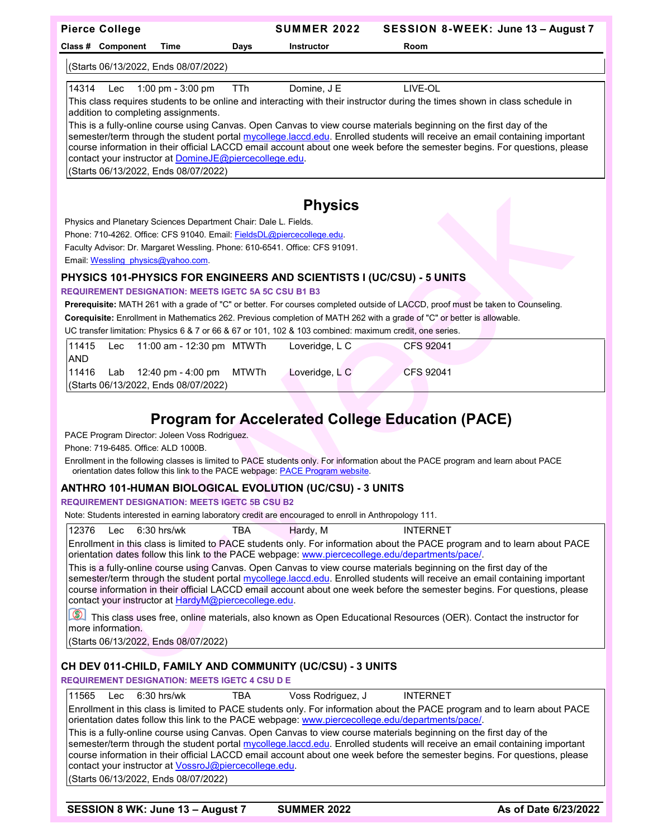| <b>Pierce College</b>                                |                                                                  | <b>SUMMER 2022</b>                                                                                           | SESSION 8-WEEK: June 13 - August 7                                                                                                                                                                                                                                                                                                                                            |                      |
|------------------------------------------------------|------------------------------------------------------------------|--------------------------------------------------------------------------------------------------------------|-------------------------------------------------------------------------------------------------------------------------------------------------------------------------------------------------------------------------------------------------------------------------------------------------------------------------------------------------------------------------------|----------------------|
| Class # Component                                    | Time<br>Days                                                     | <b>Instructor</b>                                                                                            | Room                                                                                                                                                                                                                                                                                                                                                                          |                      |
| (Starts 06/13/2022, Ends 08/07/2022)                 |                                                                  |                                                                                                              |                                                                                                                                                                                                                                                                                                                                                                               |                      |
| 14314<br>Lec                                         | 1:00 pm - 3:00 pm<br>TTh                                         | Domine, J E                                                                                                  | LIVE-OL                                                                                                                                                                                                                                                                                                                                                                       |                      |
|                                                      |                                                                  |                                                                                                              | This class requires students to be online and interacting with their instructor during the times shown in class schedule in                                                                                                                                                                                                                                                   |                      |
| addition to completing assignments.                  |                                                                  |                                                                                                              |                                                                                                                                                                                                                                                                                                                                                                               |                      |
| (Starts 06/13/2022, Ends 08/07/2022)                 | contact your instructor at DomineJE@piercecollege.edu.           |                                                                                                              | This is a fully-online course using Canvas. Open Canvas to view course materials beginning on the first day of the<br>semester/term through the student portal mycollege.laccd.edu. Enrolled students will receive an email containing important<br>course information in their official LACCD email account about one week before the semester begins. For questions, please |                      |
|                                                      |                                                                  |                                                                                                              |                                                                                                                                                                                                                                                                                                                                                                               |                      |
|                                                      |                                                                  |                                                                                                              |                                                                                                                                                                                                                                                                                                                                                                               |                      |
|                                                      |                                                                  | <b>Physics</b>                                                                                               |                                                                                                                                                                                                                                                                                                                                                                               |                      |
|                                                      | Physics and Planetary Sciences Department Chair: Dale L. Fields. | Phone: 710-4262. Office: CFS 91040. Email: FieldsDL@piercecollege.edu.                                       |                                                                                                                                                                                                                                                                                                                                                                               |                      |
|                                                      |                                                                  | Faculty Advisor: Dr. Margaret Wessling. Phone: 610-6541. Office: CFS 91091.                                  |                                                                                                                                                                                                                                                                                                                                                                               |                      |
| Email Wessling physics@yahoo.com.                    |                                                                  |                                                                                                              |                                                                                                                                                                                                                                                                                                                                                                               |                      |
|                                                      |                                                                  | PHYSICS 101-PHYSICS FOR ENGINEERS AND SCIENTISTS I (UC/CSU) - 5 UNITS                                        |                                                                                                                                                                                                                                                                                                                                                                               |                      |
|                                                      | <b>REQUIREMENT DESIGNATION: MEETS IGETC 5A 5C CSU B1 B3</b>      |                                                                                                              |                                                                                                                                                                                                                                                                                                                                                                               |                      |
|                                                      |                                                                  |                                                                                                              | Prerequisite: MATH 261 with a grade of "C" or better. For courses completed outside of LACCD, proof must be taken to Counseling.                                                                                                                                                                                                                                              |                      |
|                                                      |                                                                  |                                                                                                              | Corequisite: Enrollment in Mathematics 262. Previous completion of MATH 262 with a grade of "C" or better is allowable.                                                                                                                                                                                                                                                       |                      |
|                                                      |                                                                  | UC transfer limitation: Physics 6 & 7 or 66 & 67 or 101, 102 & 103 combined: maximum credit, one series.     |                                                                                                                                                                                                                                                                                                                                                                               |                      |
| 11415<br>Lec                                         | 11:00 am - 12:30 pm MTWTh                                        | Loveridge, L C                                                                                               | <b>CFS 92041</b>                                                                                                                                                                                                                                                                                                                                                              |                      |
| <b>AND</b>                                           |                                                                  |                                                                                                              |                                                                                                                                                                                                                                                                                                                                                                               |                      |
| 11416<br>Lab<br>(Starts 06/13/2022, Ends 08/07/2022) | 12:40 pm - 4:00 pm                                               | <b>MTWTh</b><br>Loveridge, $L C$                                                                             | <b>CFS 92041</b>                                                                                                                                                                                                                                                                                                                                                              |                      |
|                                                      |                                                                  |                                                                                                              |                                                                                                                                                                                                                                                                                                                                                                               |                      |
| Phone: 719-6485. Office: ALD 1000B.                  | PACE Program Director: Joleen Voss Rodriguez.                    |                                                                                                              | <b>Program for Accelerated College Education (PACE)</b><br>Enrollment in the following classes is limited to PACE students only. For information about the PACE program and learn about PACE                                                                                                                                                                                  |                      |
|                                                      |                                                                  | orientation dates follow this link to the PACE webpage: PACE Program website.                                |                                                                                                                                                                                                                                                                                                                                                                               |                      |
|                                                      |                                                                  | ANTHRO 101-HUMAN BIOLOGICAL EVOLUTION (UC/CSU) - 3 UNITS                                                     |                                                                                                                                                                                                                                                                                                                                                                               |                      |
|                                                      | <b>REQUIREMENT DESIGNATION: MEETS IGETC 5B CSU B2</b>            | Note: Students interested in earning laboratory credit are encouraged to enroll in Anthropology 111.         |                                                                                                                                                                                                                                                                                                                                                                               |                      |
|                                                      |                                                                  |                                                                                                              |                                                                                                                                                                                                                                                                                                                                                                               |                      |
| 12376<br>Lec                                         | 6:30 hrs/wk<br>TBA                                               | Hardy, M<br>orientation dates follow this link to the PACE webpage: www.piercecollege.edu/departments/pace/. | <b>INTERNET</b><br>Enrollment in this class is limited to PACE students only. For information about the PACE program and to learn about PACE<br>This is a fully-online course using Canvas. Open Canvas to view course materials beginning on the first day of the                                                                                                            |                      |
|                                                      | contact your instructor at HardyM@piercecollege.edu.             |                                                                                                              | semester/term through the student portal mycollege.laccd.edu. Enrolled students will receive an email containing important<br>course information in their official LACCD email account about one week before the semester begins. For questions, please                                                                                                                       |                      |
| $\circledcirc$<br>more information.                  |                                                                  |                                                                                                              | This class uses free, online materials, also known as Open Educational Resources (OER). Contact the instructor for                                                                                                                                                                                                                                                            |                      |
| (Starts 06/13/2022, Ends 08/07/2022)                 |                                                                  |                                                                                                              |                                                                                                                                                                                                                                                                                                                                                                               |                      |
|                                                      |                                                                  | CH DEV 011-CHILD, FAMILY AND COMMUNITY (UC/CSU) - 3 UNITS                                                    |                                                                                                                                                                                                                                                                                                                                                                               |                      |
|                                                      | <b>REQUIREMENT DESIGNATION: MEETS IGETC 4 CSU D E</b>            |                                                                                                              |                                                                                                                                                                                                                                                                                                                                                                               |                      |
| 11565<br>Lec                                         | $6:30$ hrs/wk<br>TBA                                             | Voss Rodriguez, J                                                                                            | <b>INTERNET</b>                                                                                                                                                                                                                                                                                                                                                               |                      |
|                                                      |                                                                  | orientation dates follow this link to the PACE webpage: www.piercecollege.edu/departments/pace/.             | Enrollment in this class is limited to PACE students only. For information about the PACE program and to learn about PACE                                                                                                                                                                                                                                                     |                      |
|                                                      |                                                                  |                                                                                                              | This is a fully-online course using Canvas. Open Canvas to view course materials beginning on the first day of the                                                                                                                                                                                                                                                            |                      |
|                                                      | contact your instructor at VossroJ@piercecollege.edu.            |                                                                                                              | semester/term through the student portal mycollege.laccd.edu. Enrolled students will receive an email containing important<br>course information in their official LACCD email account about one week before the semester begins. For questions, please                                                                                                                       |                      |
| (Starts 06/13/2022, Ends 08/07/2022)                 |                                                                  |                                                                                                              |                                                                                                                                                                                                                                                                                                                                                                               |                      |
|                                                      |                                                                  |                                                                                                              |                                                                                                                                                                                                                                                                                                                                                                               |                      |
|                                                      | SESSION 8 WK: June 13 - August 7                                 | <b>SUMMER 2022</b>                                                                                           |                                                                                                                                                                                                                                                                                                                                                                               | As of Date 6/23/2022 |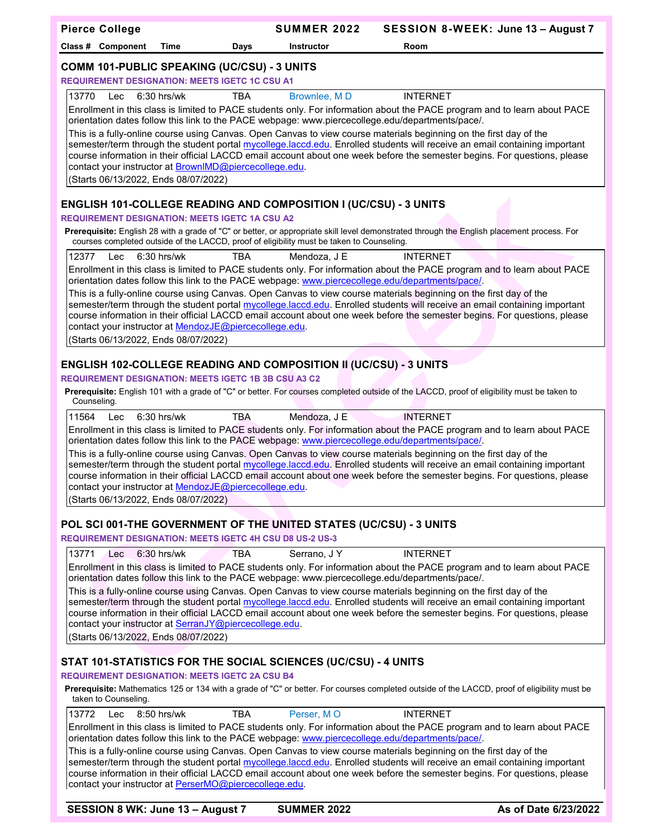| <b>Pierce College</b>                                                                                              | <b>SUMMER 2022</b> | SESSION 8-WEEK: June 13 - August 7                                                                                                                                                                                                                      |  |  |  |  |
|--------------------------------------------------------------------------------------------------------------------|--------------------|---------------------------------------------------------------------------------------------------------------------------------------------------------------------------------------------------------------------------------------------------------|--|--|--|--|
| Class # Component<br>Time<br>Days                                                                                  | <b>Instructor</b>  | Room                                                                                                                                                                                                                                                    |  |  |  |  |
| <b>COMM 101-PUBLIC SPEAKING (UC/CSU) - 3 UNITS</b>                                                                 |                    |                                                                                                                                                                                                                                                         |  |  |  |  |
| <b>REQUIREMENT DESIGNATION: MEETS IGETC 1C CSU A1</b>                                                              |                    |                                                                                                                                                                                                                                                         |  |  |  |  |
| 13770<br>6:30 hrs/wk<br>Lec<br><b>TBA</b>                                                                          | Brownlee, MD       | <b>INTERNET</b>                                                                                                                                                                                                                                         |  |  |  |  |
| orientation dates follow this link to the PACE webpage: www.piercecollege.edu/departments/pace/.                   |                    | Enrollment in this class is limited to PACE students only. For information about the PACE program and to learn about PACE                                                                                                                               |  |  |  |  |
| This is a fully-online course using Canvas. Open Canvas to view course materials beginning on the first day of the |                    |                                                                                                                                                                                                                                                         |  |  |  |  |
|                                                                                                                    |                    | semester/term through the student portal mycollege.laccd.edu. Enrolled students will receive an email containing important<br>course information in their official LACCD email account about one week before the semester begins. For questions, please |  |  |  |  |
| contact your instructor at BrownIMD@piercecollege.edu.                                                             |                    |                                                                                                                                                                                                                                                         |  |  |  |  |
| (Starts 06/13/2022, Ends 08/07/2022)                                                                               |                    |                                                                                                                                                                                                                                                         |  |  |  |  |
| <b>ENGLISH 101-COLLEGE READING AND COMPOSITION I (UC/CSU) - 3 UNITS</b>                                            |                    |                                                                                                                                                                                                                                                         |  |  |  |  |
| <b>REQUIREMENT DESIGNATION: MEETS IGETC 1A CSU A2</b>                                                              |                    |                                                                                                                                                                                                                                                         |  |  |  |  |
| courses completed outside of the LACCD, proof of eligibility must be taken to Counseling.                          |                    | Prerequisite: English 28 with a grade of "C" or better, or appropriate skill level demonstrated through the English placement process. For                                                                                                              |  |  |  |  |
| 12377<br><b>TBA</b><br>Lec<br>$6:30$ hrs/wk                                                                        | Mendoza, J E       | <b>INTERNET</b>                                                                                                                                                                                                                                         |  |  |  |  |
| orientation dates follow this link to the PACE webpage: www.piercecollege.edu/departments/pace/.                   |                    | Enrollment in this class is limited to PACE students only. For information about the PACE program and to learn about PACE                                                                                                                               |  |  |  |  |
| This is a fully-online course using Canvas. Open Canvas to view course materials beginning on the first day of the |                    |                                                                                                                                                                                                                                                         |  |  |  |  |
|                                                                                                                    |                    | semester/term through the student portal mycollege.laccd.edu. Enrolled students will receive an email containing important<br>course information in their official LACCD email account about one week before the semester begins. For questions, please |  |  |  |  |
| contact your instructor at MendozJE@piercecollege.edu.                                                             |                    |                                                                                                                                                                                                                                                         |  |  |  |  |
| (Starts 06/13/2022, Ends 08/07/2022)                                                                               |                    |                                                                                                                                                                                                                                                         |  |  |  |  |
| <b>ENGLISH 102-COLLEGE READING AND COMPOSITION II (UC/CSU) - 3 UNITS</b>                                           |                    |                                                                                                                                                                                                                                                         |  |  |  |  |
| <b>REQUIREMENT DESIGNATION: MEETS IGETC 1B 3B CSU A3 C2</b>                                                        |                    |                                                                                                                                                                                                                                                         |  |  |  |  |
| Counseling.                                                                                                        |                    | Prerequisite: English 101 with a grade of "C" or better. For courses completed outside of the LACCD, proof of eligibility must be taken to                                                                                                              |  |  |  |  |
| 11564<br><b>TBA</b><br>$6:30$ hrs/wk<br>Lec                                                                        | Mendoza, J E       | <b>INTERNET</b>                                                                                                                                                                                                                                         |  |  |  |  |
| orientation dates follow this link to the PACE webpage: www.piercecollege.edu/departments/pace/.                   |                    | Enrollment in this class is limited to PACE students only. For information about the PACE program and to learn about PACE                                                                                                                               |  |  |  |  |
| This is a fully-online course using Canvas. Open Canvas to view course materials beginning on the first day of the |                    |                                                                                                                                                                                                                                                         |  |  |  |  |
|                                                                                                                    |                    | semester/term through the student portal mycollege.laccd.edu. Enrolled students will receive an email containing important<br>course information in their official LACCD email account about one week before the semester begins. For questions, please |  |  |  |  |
| contact your instructor at MendozJE@piercecollege.edu.                                                             |                    |                                                                                                                                                                                                                                                         |  |  |  |  |
| (Starts 06/13/2022, Ends 08/07/2022)                                                                               |                    |                                                                                                                                                                                                                                                         |  |  |  |  |
| POL SCI 001-THE GOVERNMENT OF THE UNITED STATES (UC/CSU) - 3 UNITS                                                 |                    |                                                                                                                                                                                                                                                         |  |  |  |  |
| <b>REQUIREMENT DESIGNATION: MEETS IGETC 4H CSU D8 US-2 US-3</b>                                                    |                    |                                                                                                                                                                                                                                                         |  |  |  |  |
| 13771<br>$6:30$ hrs/wk<br><b>TBA</b><br>Lec                                                                        | Serrano, JY        | <b>INTERNET</b>                                                                                                                                                                                                                                         |  |  |  |  |
| orientation dates follow this link to the PACE webpage: www.piercecollege.edu/departments/pace/.                   |                    | Enrollment in this class is limited to PACE students only. For information about the PACE program and to learn about PACE                                                                                                                               |  |  |  |  |
| This is a fully-online course using Canvas. Open Canvas to view course materials beginning on the first day of the |                    |                                                                                                                                                                                                                                                         |  |  |  |  |
|                                                                                                                    |                    | semester/term through the student portal mycollege.laccd.edu. Enrolled students will receive an email containing important<br>course information in their official LACCD email account about one week before the semester begins. For questions, please |  |  |  |  |
| contact your instructor at SerranJY@piercecollege.edu.                                                             |                    |                                                                                                                                                                                                                                                         |  |  |  |  |
| (Starts 06/13/2022, Ends 08/07/2022)                                                                               |                    |                                                                                                                                                                                                                                                         |  |  |  |  |
| STAT 101-STATISTICS FOR THE SOCIAL SCIENCES (UC/CSU) - 4 UNITS                                                     |                    |                                                                                                                                                                                                                                                         |  |  |  |  |
| <b>REQUIREMENT DESIGNATION: MEETS IGETC 2A CSU B4</b>                                                              |                    |                                                                                                                                                                                                                                                         |  |  |  |  |
| taken to Counseling.                                                                                               |                    | Prerequisite: Mathematics 125 or 134 with a grade of "C" or better. For courses completed outside of the LACCD, proof of eligibility must be                                                                                                            |  |  |  |  |
| 13772<br><b>TBA</b><br>Lec<br>8:50 hrs/wk                                                                          | Perser, MO         | <b>INTERNET</b>                                                                                                                                                                                                                                         |  |  |  |  |
| orientation dates follow this link to the PACE webpage: www.piercecollege.edu/departments/pace/.                   |                    | Enrollment in this class is limited to PACE students only. For information about the PACE program and to learn about PACE                                                                                                                               |  |  |  |  |
| This is a fully-online course using Canvas. Open Canvas to view course materials beginning on the first day of the |                    | semester/term through the student portal mycollege.laccd.edu. Enrolled students will receive an email containing important                                                                                                                              |  |  |  |  |

**SESSION 8 WK: June 13 – August 7 SUMMER 2022 As of Date 6/23/2022**

contact your instructor at <u>PerserMO@piercecollege.edu</u>.

course information in their official LACCD email account about one week before the semester begins. For questions, please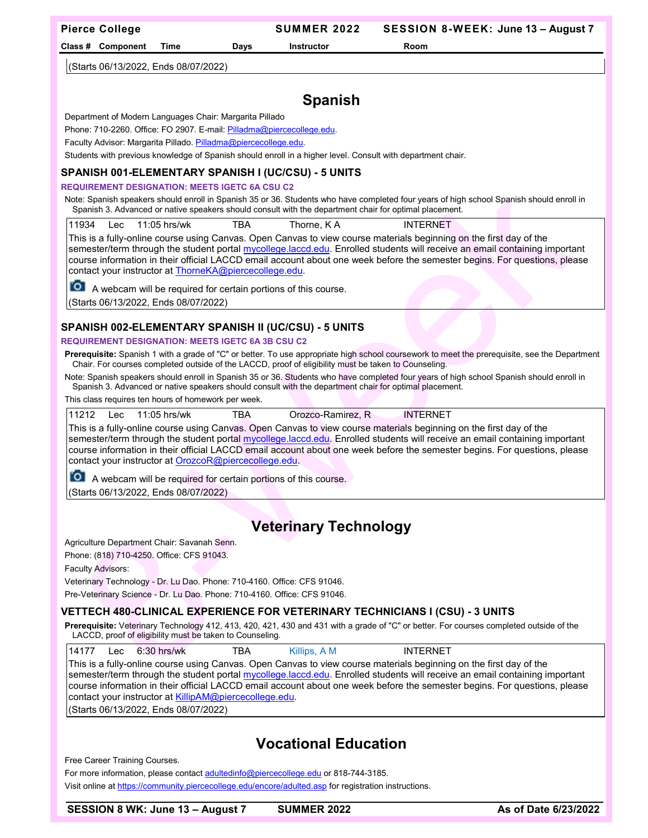**Class # Component Time Days Instructor Room**

(Starts 06/13/2022, Ends 08/07/2022)

# **Spanish**

Department of Modern Languages Chair: Margarita Pillado

Phone: 710-2260. Office: FO 2907. E-mail: Pilladma@piercecollege.edu.

Faculty Advisor: Margarita Pillado. Pilladma@piercecollege.edu.

Students with previous knowledge of Spanish should enroll in a higher level. Consult with department chair.

### **SPANISH 001-ELEMENTARY SPANISH I (UC/CSU) - 5 UNITS**

#### **REQUIREMENT DESIGNATION: MEETS IGETC 6A CSU C2**

Note: Spanish speakers should enroll in Spanish 35 or 36. Students who have completed four years of high school Spanish should enroll in Spanish 3. Advanced or native speakers should consult with the department chair for optimal placement.

11934 Lec 11:05 hrs/wk TBA Thorne, K A INTERNET

This is a fully-online course using Canvas. Open Canvas to view course materials beginning on the first day of the semester/term through the student portal mycollege.laccd.edu. Enrolled students will receive an email containing important course information in their official LACCD email account about one week before the semester begins. For questions, please contact your instructor at [ThorneKA@piercecollege.edu.](mailto:ThorneKA@piercecollege.edu)

**O** A webcam will be required for certain portions of this course.

(Starts 06/13/2022, Ends 08/07/2022)

## **SPANISH 002-ELEMENTARY SPANISH II (UC/CSU) - 5 UNITS**

#### **REQUIREMENT DESIGNATION: MEETS IGETC 6A 3B CSU C2**

**Prerequisite:** Spanish 1 with a grade of "C" or better. To use appropriate high school coursework to meet the prerequisite, see the Department Chair. For courses completed outside of the LACCD, proof of eligibility must be taken to Counseling.

Note: Spanish speakers should enroll in Spanish 35 or 36. Students who have completed four years of high school Spanish should enroll in Spanish 3. Advanced or native speakers should consult with the department chair for optimal placement.

This class requires ten hours of homework per week.

|  | 11212 Lec 11:05 hrs/wk | TBA | Orozco-Ramirez, R | <b>INTERNET</b>                                                                                                     |  |
|--|------------------------|-----|-------------------|---------------------------------------------------------------------------------------------------------------------|--|
|  |                        |     |                   | This is a fully sulles serves using Course. Once Course to visu service motorials beginning on the first day of the |  |

This is a fully-online course using Canvas. Open Canvas to view course materials beginning on the first day of the semester/term through the student portal mycollege.laccd.edu. Enrolled students will receive an email containing important course information in their official LACCD email account about one week before the semester begins. For questions, please contact your instructor at [OrozcoR@piercecollege.edu.](mailto:OrozcoR@piercecollege.edu)

**O** A webcam will be required for certain portions of this course.

(Starts 06/13/2022, Ends 08/07/2022)

## **Veterinary Technology**

Agriculture Department Chair: Savanah Senn.

Phone: (818) 710-4250. Office: CFS 91043.

Faculty Advisors:

Veterinary Technology - Dr. Lu Dao. Phone: 710-4160. Office: CFS 91046.

Pre-Veterinary Science - Dr. Lu Dao. Phone: 710-4160. Office: CFS 91046.

#### **VETTECH 480-CLINICAL EXPERIENCE FOR VETERINARY TECHNICIANS I (CSU) - 3 UNITS**

**Prerequisite:** Veterinary Technology 412, 413, 420, 421, 430 and 431 with a grade of "C" or better. For courses completed outside of the LACCD, proof of eligibility must be taken to Counseling.

|  | 14177 Lec 6:30 hrs/wk | TBA | Killips, A M | <b>INTERNET</b>                                                                                                           |  |
|--|-----------------------|-----|--------------|---------------------------------------------------------------------------------------------------------------------------|--|
|  |                       |     |              | This is a fully-online course using Canvas. Open Canvas to view course materials beginning on the first day of the        |  |
|  |                       |     |              | Isemester/term through the student portal mycollege laced edu. Enrolled students will receive an email containing importa |  |

 $\varepsilon$ nrolled students will receive an email containing important course information in their official LACCD email account about one week before the semester begins. For questions, please contact your instructor at **KillipAM@piercecollege.edu**.

(Starts 06/13/2022, Ends 08/07/2022)

# **Vocational Education**

Free Career Training Courses.

For more information, please contac[t adultedinfo@piercecollege.edu](mailto:adultedinfo@piercecollege.edu) or 818-744-3185.

Visit online at<https://community.piercecollege.edu/encore/adulted.asp> for registration instructions.